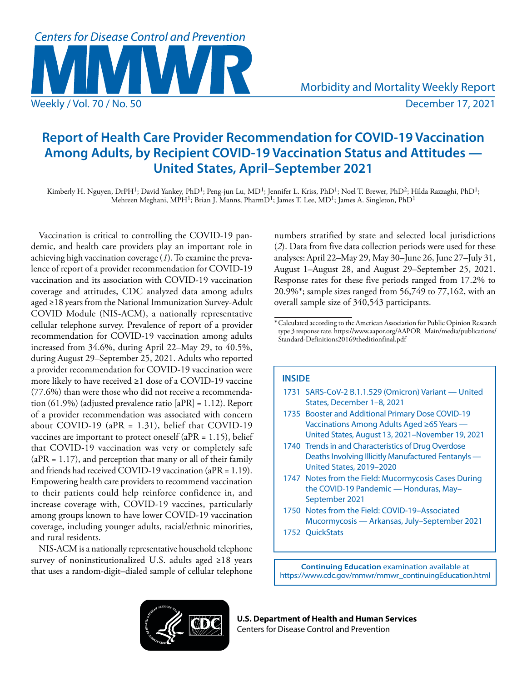

# **Report of Health Care Provider Recommendation for COVID-19 Vaccination Among Adults, by Recipient COVID-19 Vaccination Status and Attitudes — United States, April–September 2021**

Kimberly H. Nguyen, DrPH<sup>1</sup>; David Yankey, PhD<sup>1</sup>; Peng-jun Lu, MD<sup>1</sup>; Jennifer L. Kriss, PhD<sup>1</sup>; Noel T. Brewer, PhD<sup>2</sup>; Hilda Razzaghi, PhD<sup>1</sup>; Mehreen Meghani, MPH<sup>1</sup>; Brian J. Manns, PharmD<sup>1</sup>; James T. Lee, MD<sup>1</sup>; James A. Singleton, PhD<sup>1</sup>

Vaccination is critical to controlling the COVID-19 pandemic, and health care providers play an important role in achieving high vaccination coverage (*1*). To examine the prevalence of report of a provider recommendation for COVID-19 vaccination and its association with COVID-19 vaccination coverage and attitudes, CDC analyzed data among adults aged ≥18 years from the National Immunization Survey-Adult COVID Module (NIS-ACM), a nationally representative cellular telephone survey. Prevalence of report of a provider recommendation for COVID-19 vaccination among adults increased from 34.6%, during April 22–May 29, to 40.5%, during August 29–September 25, 2021. Adults who reported a provider recommendation for COVID-19 vaccination were more likely to have received ≥1 dose of a COVID-19 vaccine (77.6%) than were those who did not receive a recommendation (61.9%) (adjusted prevalence ratio [aPR] = 1.12). Report of a provider recommendation was associated with concern about COVID-19 (a $PR = 1.31$ ), belief that COVID-19 vaccines are important to protect oneself ( $aPR = 1.15$ ), belief that COVID-19 vaccination was very or completely safe  $(aPR = 1.17)$ , and perception that many or all of their family and friends had received COVID-19 vaccination (aPR = 1.19). Empowering health care providers to recommend vaccination to their patients could help reinforce confidence in, and increase coverage with, COVID-19 vaccines, particularly among groups known to have lower COVID-19 vaccination coverage, including younger adults, racial/ethnic minorities, and rural residents.

NIS-ACM is a nationally representative household telephone survey of noninstitutionalized U.S. adults aged ≥18 years that uses a random-digit–dialed sample of cellular telephone numbers stratified by state and selected local jurisdictions (*2*). Data from five data collection periods were used for these analyses: April 22–May 29, May 30–June 26, June 27–July 31, August 1–August 28, and August 29–September 25, 2021. Response rates for these five periods ranged from 17.2% to 20.9%\*; sample sizes ranged from 56,749 to 77,162, with an overall sample size of 340,543 participants.

# **INSIDE**

- 1731 [SARS-CoV-2 B.1.1.529 \(Omicron\) Variant United](#page-8-0)  [States, December 1–8, 2021](#page-8-0)
- 1735 [Booster and Additional Primary Dose COVID-19](#page-12-0)  [Vaccinations Among Adults Aged ≥65 Years —](#page-12-0)  [United States, August 13, 2021–November 19, 2021](#page-12-0)
- 1740 [Trends in and Characteristics of Drug Overdose](#page-17-0)  [Deaths Involving Illicitly Manufactured Fentanyls —](#page-17-0)  [United States, 2019–2020](#page-17-0)
- 1747 [Notes from the Field](#page-24-0): Mucormycosis Cases During the COVID-19 Pandemic — Honduras, May– September 2021
- 1750 [Notes from the Field](#page-27-0): COVID-19–Associated Mucormycosis — Arkansas, July–September 2021
- 1752 [QuickStats](#page-29-0)

**Continuing Education** examination available at [https://www.cdc.gov/mmwr/mmwr\\_continuingEducation.html](https://www.cdc.gov/mmwr/mmwr_continuingEducation.html)



**U.S. Department of Health and Human Services** Centers for Disease Control and Prevention

<sup>\*</sup>Calculated according to the American Association for Public Opinion Research type 3 response rate. [https://www.aapor.org/AAPOR\\_Main/media/publications/](https://www.aapor.org/AAPOR_Main/media/publications/Standard-Definitions20169theditionfinal.pdf) [Standard-Definitions20169theditionfinal.pdf](https://www.aapor.org/AAPOR_Main/media/publications/Standard-Definitions20169theditionfinal.pdf)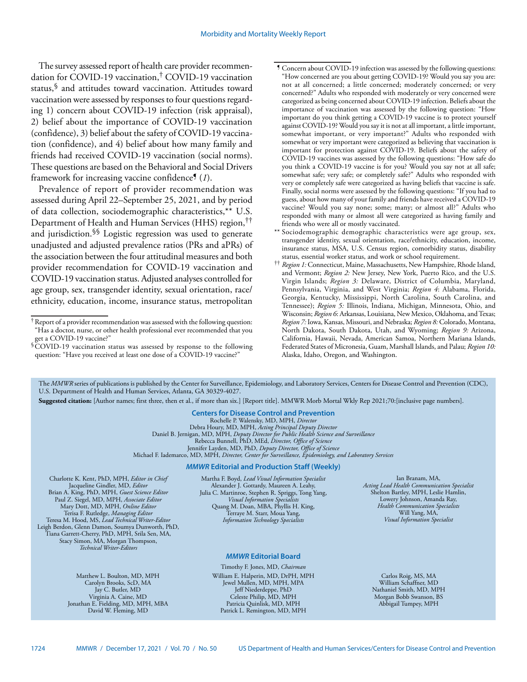The survey assessed report of health care provider recommendation for COVID-19 vaccination,† COVID-19 vaccination status,§ and attitudes toward vaccination. Attitudes toward vaccination were assessed by responses to four questions regarding 1) concern about COVID-19 infection (risk appraisal), 2) belief about the importance of COVID-19 vaccination (confidence), 3) belief about the safety of COVID-19 vaccination (confidence), and 4) belief about how many family and friends had received COVID-19 vaccination (social norms). These questions are based on the Behavioral and Social Drivers framework for increasing vaccine confidence¶ (*1*).

Prevalence of report of provider recommendation was assessed during April 22–September 25, 2021, and by period of data collection, sociodemographic characteristics,\*\* U.S. Department of Health and Human Services (HHS) region,†† and jurisdiction.§§ Logistic regression was used to generate unadjusted and adjusted prevalence ratios (PRs and aPRs) of the association between the four attitudinal measures and both provider recommendation for COVID-19 vaccination and COVID-19 vaccination status. Adjusted analyses controlled for age group, sex, transgender identity, sexual orientation, race/ ethnicity, education, income, insurance status, metropolitan

§COVID-19 vaccination status was assessed by response to the following question: "Have you received at least one dose of a COVID-19 vaccine?"

- ¶ Concern about COVID-19 infection was assessed by the following questions: "How concerned are you about getting COVID-19? Would you say you are: not at all concerned; a little concerned; moderately concerned; or very concerned?" Adults who responded with moderately or very concerned were categorized as being concerned about COVID-19 infection. Beliefs about the importance of vaccination was assessed by the following question: "How important do you think getting a COVID-19 vaccine is to protect yourself against COVID-19? Would you say it is not at all important, a little important, somewhat important, or very important?" Adults who responded with somewhat or very important were categorized as believing that vaccination is important for protection against COVID-19. Beliefs about the safety of COVID-19 vaccines was assessed by the following questions: "How safe do you think a COVID-19 vaccine is for you? Would you say not at all safe; somewhat safe; very safe; or completely safe?" Adults who responded with very or completely safe were categorized as having beliefs that vaccine is safe. Finally, social norms were assessed by the following questions: "If you had to guess, about how many of your family and friends have received a COVID-19 vaccine? Would you say none; some; many; or almost all?" Adults who responded with many or almost all were categorized as having family and friends who were all or mostly vaccinated.
- \*\* Sociodemographic demographic characteristics were age group, sex, transgender identity, sexual orientation, race/ethnicity, education, income, insurance status, MSA, U.S. Census region, comorbidity status, disability status, essential worker status, and work or school requirement.
- †† *Region 1:* Connecticut, Maine, Massachusetts, New Hampshire, Rhode Island, and Vermont; *Region 2:* New Jersey, New York, Puerto Rico, and the U.S. Virgin Islands; *Region 3:* Delaware, District of Columbia, Maryland, Pennsylvania, Virginia, and West Virginia; *Region 4*: Alabama, Florida, Georgia, Kentucky, Mississippi, North Carolina, South Carolina, and Tennessee); *Region 5:* Illinois, Indiana, Michigan, Minnesota, Ohio, and Wisconsin; *Region 6*: Arkansas, Louisiana, New Mexico, Oklahoma, and Texas; *Region 7:* Iowa, Kansas, Missouri, and Nebraska; *Region 8:* Colorado, Montana, North Dakota, South Dakota, Utah, and Wyoming; *Region 9:* Arizona, California, Hawaii, Nevada, American Samoa, Northern Mariana Islands, Federated States of Micronesia, Guam, Marshall Islands, and Palau; *Region 10:* Alaska, Idaho, Oregon, and Washington.

The *MMWR* series of publications is published by the Center for Surveillance, Epidemiology, and Laboratory Services, Centers for Disease Control and Prevention (CDC), U.S. Department of Health and Human Services, Atlanta, GA 30329-4027.

**Suggested citation:** [Author names; first three, then et al., if more than six.] [Report title]. MMWR Morb Mortal Wkly Rep 2021;70:[inclusive page numbers].

**Centers for Disease Control and Prevention** Rochelle P. Walensky, MD, MPH, *Director* Debra Houry, MD, MPH, *Acting Principal Deputy Director* Daniel B. Jernigan, MD, MPH, *Deputy Director for Public Health Science and Surveillance* Rebecca Bunnell, PhD, MEd, *Director, Office of Science* Jennifer Layden, MD, PhD, *Deputy Director, Office of Science* Michael F. Iademarco, MD, MPH, *Director, Center for Surveillance, Epidemiology, and Laboratory Services* 

### *MMWR* **Editorial and Production Staff (Weekly)**

Charlotte K. Kent, PhD, MPH, *Editor in Chief*  Jacqueline Gindler, MD, *Editor* Brian A. King, PhD, MPH, *Guest Science Editor* Paul Z. Siegel, MD, MPH, *Associate Editor* Mary Dott, MD, MPH, *Online Editor* Terisa F. Rutledge, *Managing Editor*  Teresa M. Hood, MS, *Lead Technical Writer-Editor* Leigh Berdon, Glenn Damon, Soumya Dunworth, PhD, Tiana Garrett-Cherry, PhD, MPH, Srila Sen, MA, Stacy Simon, MA, Morgan Thompson, *Technical Writer-Editors*

> Matthew L. Boulton, MD, MPH Carolyn Brooks, ScD, MA Jay C. Butler, MD Virginia A. Caine, MD Jonathan E. Fielding, MD, MPH, MBA David W. Fleming, MD

Martha F. Boyd, *Lead Visual Information Specialist* Alexander J. Gottardy, Maureen A. Leahy, Julia C. Martinroe, Stephen R. Spriggs, Tong Yang, *Visual Information Specialists* Quang M. Doan, MBA, Phyllis H. King, Terraye M. Starr, Moua Yang, *Information Technology Specialists*

### *MMWR* **Editorial Board**

Timothy F. Jones, MD, *Chairman* William E. Halperin, MD, DrPH, MPH Jewel Mullen, MD, MPH, MPA Jeff Niederdeppe, PhD Celeste Philip, MD, MPH Patricia Quinlisk, MD, MPH Patrick L. Remington, MD, MPH

Ian Branam, MA, *Acting Lead Health Communication Specialist* Shelton Bartley, MPH, Leslie Hamlin, Lowery Johnson, Amanda Ray, *Health Communication Specialists* Will Yang, MA, *Visual Information Specialist*

Carlos Roig, MS, MA William Schaffner, MD Nathaniel Smith, MD, MPH Morgan Bobb Swanson, BS Abbigail Tumpey, MPH

<sup>†</sup>Report of a provider recommendation was assessed with the following question: "Has a doctor, nurse, or other health professional ever recommended that you get a COVID-19 vaccine?"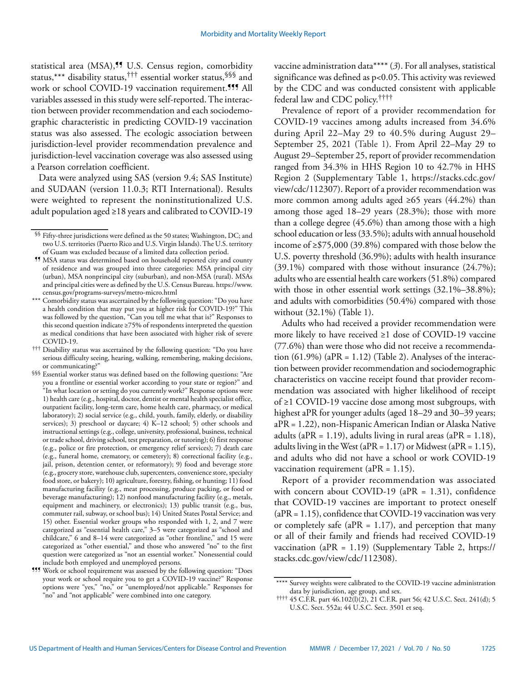statistical area (MSA),<sup>99</sup> U.S. Census region, comorbidity status,\*\*\* disability status,††† essential worker status,§§§ and work or school COVID-19 vaccination requirement.<sup>999</sup> All variables assessed in this study were self-reported. The interaction between provider recommendation and each sociodemographic characteristic in predicting COVID-19 vaccination status was also assessed. The ecologic association between jurisdiction-level provider recommendation prevalence and jurisdiction-level vaccination coverage was also assessed using a Pearson correlation coefficient.

Data were analyzed using SAS (version 9.4; SAS Institute) and SUDAAN (version 11.0.3; RTI International). Results were weighted to represent the noninstitutionalized U.S. adult population aged ≥18 years and calibrated to COVID-19 vaccine administration data\*\*\*\* (*3*). For all analyses, statistical significance was defined as p<0.05. This activity was reviewed by the CDC and was conducted consistent with applicable federal law and CDC policy.††††

Prevalence of report of a provider recommendation for COVID-19 vaccines among adults increased from 34.6% during April 22–May 29 to 40.5% during August 29– September 25, 2021 (Table 1). From April 22–May 29 to August 29–September 25, report of provider recommendation ranged from 34.3% in HHS Region 10 to 42.7% in HHS Region 2 (Supplementary Table 1, [https://stacks.cdc.gov/](https://stacks.cdc.gov/view/cdc/112307) [view/cdc/112307](https://stacks.cdc.gov/view/cdc/112307)). Report of a provider recommendation was more common among adults aged ≥65 years (44.2%) than among those aged 18–29 years (28.3%); those with more than a college degree (45.6%) than among those with a high school education or less (33.5%); adults with annual household income of ≥\$75,000 (39.8%) compared with those below the U.S. poverty threshold (36.9%); adults with health insurance  $(39.1\%)$  compared with those without insurance  $(24.7\%)$ ; adults who are essential health care workers (51.8%) compared with those in other essential work settings (32.1%–38.8%); and adults with comorbidities (50.4%) compared with those without (32.1%) (Table 1).

Adults who had received a provider recommendation were more likely to have received ≥1 dose of COVID-19 vaccine (77.6%) than were those who did not receive a recommendation  $(61.9\%)$  (aPR = 1.12) (Table 2). Analyses of the interaction between provider recommendation and sociodemographic characteristics on vaccine receipt found that provider recommendation was associated with higher likelihood of receipt of ≥1 COVID-19 vaccine dose among most subgroups, with highest aPR for younger adults (aged 18–29 and 30–39 years; aPR = 1.22), non-Hispanic American Indian or Alaska Native adults (aPR = 1.19), adults living in rural areas (aPR =  $1.18$ ), adults living in the West (a $PR = 1.17$ ) or Midwest (a $PR = 1.15$ ), and adults who did not have a school or work COVID-19 vaccination requirement ( $aPR = 1.15$ ).

Report of a provider recommendation was associated with concern about COVID-19 ( $aPR = 1.31$ ), confidence that COVID-19 vaccines are important to protect oneself  $(aPR = 1.15)$ , confidence that COVID-19 vaccination was very or completely safe (a $PR = 1.17$ ), and perception that many or all of their family and friends had received COVID-19 vaccination (aPR =  $1.19$ ) (Supplementary Table 2, [https://](https://stacks.cdc.gov/view/cdc/112308) [stacks.cdc.gov/view/cdc/112308](https://stacks.cdc.gov/view/cdc/112308)).

<sup>§§</sup> Fifty-three jurisdictions were defined as the 50 states; Washington, DC; and two U.S. territories (Puerto Rico and U.S. Virgin Islands). The U.S. territory of Guam was excluded because of a limited data collection period.

<sup>¶¶</sup> MSA status was determined based on household reported city and county of residence and was grouped into three categories: MSA principal city (urban), MSA nonprincipal city (suburban), and non-MSA (rural). MSAs and principal cities were as defined by the U.S. Census Bureau. [https://www.](https://www.census.gov/programs-surveys/metro-micro.html) [census.gov/programs-surveys/metro-micro.html](https://www.census.gov/programs-surveys/metro-micro.html)

<sup>\*\*\*</sup> Comorbidity status was ascertained by the following question: "Do you have a health condition that may put you at higher risk for COVID-19?" This was followed by the question, "Can you tell me what that is?" Responses to this second question indicate ≥75% of respondents interpreted the question as medical conditions that have been associated with higher risk of severe COVID-19.

 $^{\dagger\dagger\dagger}$  Disability status was ascertained by the following question: "Do you have serious difficulty seeing, hearing, walking, remembering, making decisions, or communicating?"

<sup>§§§</sup> Essential worker status was defined based on the following questions: "Are you a frontline or essential worker according to your state or region?" and "In what location or setting do you currently work?" Response options were 1) health care (e.g., hospital, doctor, dentist or mental health specialist office, outpatient facility, long-term care, home health care, pharmacy, or medical laboratory); 2) social service (e.g., child, youth, family, elderly, or disability services); 3) preschool or daycare; 4) K–12 school; 5) other schools and instructional settings (e.g., college, university, professional, business, technical or trade school, driving school, test preparation, or tutoring); 6) first response (e.g., police or fire protection, or emergency relief services); 7) death care (e.g., funeral home, crematory, or cemetery); 8) correctional facility (e.g., jail, prison, detention center, or reformatory); 9) food and beverage store (e.g., grocery store, warehouse club, supercenters, convenience store, specialty food store, or bakery); 10) agriculture, forestry, fishing, or hunting; 11) food manufacturing facility (e.g., meat processing, produce packing, or food or beverage manufacturing); 12) nonfood manufacturing facility (e.g., metals, equipment and machinery, or electronics); 13) public transit (e.g., bus, commuter rail, subway, or school bus); 14) United States Postal Service; and 15) other. Essential worker groups who responded with 1, 2, and 7 were categorized as "essential health care," 3–5 were categorized as "school and childcare," 6 and 8–14 were categorized as "other frontline," and 15 were categorized as "other essential," and those who answered "no" to the first question were categorized as "not an essential worker." Nonessential could include both employed and unemployed persons.

<sup>¶¶¶</sup> Work or school requirement was assessed by the following question: "Does your work or school require you to get a COVID-19 vaccine?" Response options were "yes," "no," or "unemployed/not applicable." Responses for "no" and "not applicable" were combined into one category.

<sup>\*\*\*\*</sup> Survey weights were calibrated to the COVID-19 vaccine administration data by jurisdiction, age group, and sex.

<sup>††††</sup> 45 C.F.R. part 46.102(l)(2), 21 C.F.R. part 56; 42 U.S.C. Sect. 241(d); 5 U.S.C. Sect. 552a; 44 U.S.C. Sect. 3501 et seq.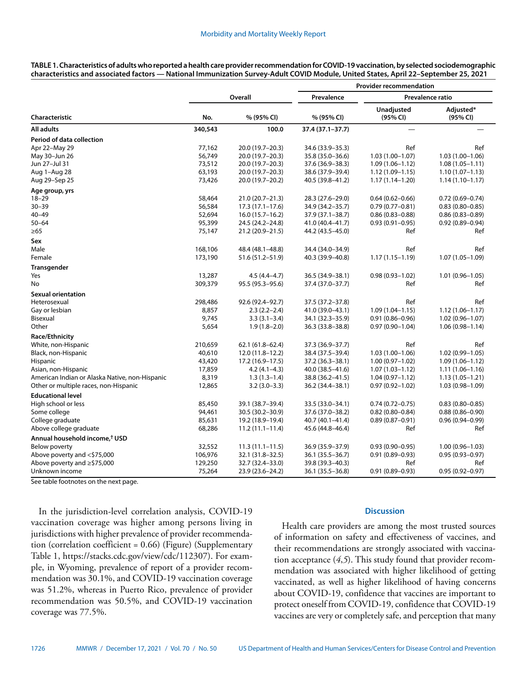|                                                |         |                     | <b>Provider recommendation</b> |                          |                       |  |
|------------------------------------------------|---------|---------------------|--------------------------------|--------------------------|-----------------------|--|
|                                                | Overall |                     | Prevalence                     | Prevalence ratio         |                       |  |
| <b>Characteristic</b>                          | No.     | % (95% CI)          | % (95% CI)                     | Unadjusted<br>(95% CI)   | Adjusted*<br>(95% CI) |  |
| All adults                                     | 340,543 | 100.0               | 37.4 (37.1-37.7)               | $\overline{\phantom{0}}$ |                       |  |
| Period of data collection                      |         |                     |                                |                          |                       |  |
| Apr 22-May 29                                  | 77,162  | 20.0 (19.7-20.3)    | 34.6 (33.9 - 35.3)             | Ref                      | Ref                   |  |
| May 30-Jun 26                                  | 56,749  | 20.0 (19.7-20.3)    | 35.8 (35.0-36.6)               | $1.03(1.00 - 1.07)$      | $1.03(1.00 - 1.06)$   |  |
| Jun 27-Jul 31                                  | 73,512  | 20.0 (19.7-20.3)    | 37.6 (36.9 - 38.3)             | $1.09(1.06 - 1.12)$      | $1.08(1.05 - 1.11)$   |  |
| Aug 1–Aug 28                                   | 63,193  | 20.0 (19.7-20.3)    | 38.6 (37.9-39.4)               | $1.12(1.09 - 1.15)$      | $1.10(1.07 - 1.13)$   |  |
| Aug 29–Sep 25                                  | 73,426  | 20.0 (19.7-20.2)    | 40.5 (39.8-41.2)               | $1.17(1.14 - 1.20)$      | $1.14(1.10-1.17)$     |  |
| Age group, yrs                                 |         |                     |                                |                          |                       |  |
| $18 - 29$                                      | 58,464  | 21.0 (20.7-21.3)    | 28.3 (27.6-29.0)               | $0.64(0.62 - 0.66)$      | $0.72(0.69 - 0.74)$   |  |
| $30 - 39$                                      | 56,584  | $17.3(17.1-17.6)$   | 34.9 (34.2-35.7)               | $0.79(0.77 - 0.81)$      | $0.83(0.80 - 0.85)$   |  |
| 40-49                                          | 52,694  | $16.0(15.7-16.2)$   | 37.9 (37.1-38.7)               | $0.86(0.83 - 0.88)$      | $0.86(0.83 - 0.89)$   |  |
| $50 - 64$                                      | 95,399  | 24.5 (24.2-24.8)    | 41.0 (40.4-41.7)               | $0.93(0.91 - 0.95)$      | $0.92(0.89 - 0.94)$   |  |
| $\geq 65$                                      | 75,147  | 21.2 (20.9-21.5)    | 44.2 (43.5-45.0)               | Ref                      | Ref                   |  |
| Sex                                            |         |                     |                                |                          |                       |  |
| Male                                           | 168,106 | 48.4 (48.1-48.8)    | 34.4 (34.0-34.9)               | Ref                      | Ref                   |  |
| Female                                         | 173,190 | 51.6 (51.2-51.9)    | 40.3 (39.9-40.8)               | $1.17(1.15 - 1.19)$      | $1.07(1.05 - 1.09)$   |  |
| <b>Transgender</b>                             |         |                     |                                |                          |                       |  |
| Yes                                            | 13,287  | $4.5(4.4 - 4.7)$    | 36.5 (34.9 - 38.1)             | $0.98(0.93 - 1.02)$      | $1.01(0.96 - 1.05)$   |  |
| No                                             | 309,379 | 95.5 (95.3-95.6)    | 37.4 (37.0-37.7)               | Ref                      | Ref                   |  |
| <b>Sexual orientation</b>                      |         |                     |                                |                          |                       |  |
| Heterosexual                                   | 298,486 | 92.6 (92.4-92.7)    | 37.5 (37.2-37.8)               | Ref                      | Ref                   |  |
| Gay or lesbian                                 | 8,857   | $2.3(2.2 - 2.4)$    | 41.0 (39.0-43.1)               | $1.09(1.04 - 1.15)$      | $1.12(1.06 - 1.17)$   |  |
| Bisexual                                       | 9,745   | $3.3(3.1 - 3.4)$    | 34.1 (32.3–35.9)               | $0.91(0.86 - 0.96)$      | $1.02(0.96 - 1.07)$   |  |
| Other                                          | 5,654   | $1.9(1.8-2.0)$      | 36.3 (33.8–38.8)               | $0.97(0.90 - 1.04)$      | $1.06(0.98 - 1.14)$   |  |
| Race/Ethnicity                                 |         |                     |                                |                          |                       |  |
| White, non-Hispanic                            | 210,659 | $62.1(61.8 - 62.4)$ | 37.3 (36.9-37.7)               | Ref                      | Ref                   |  |
| Black, non-Hispanic                            | 40,610  | 12.0 (11.8-12.2)    | 38.4 (37.5 - 39.4)             | $1.03(1.00-1.06)$        | $1.02(0.99 - 1.05)$   |  |
| <b>Hispanic</b>                                | 43,420  | 17.2 (16.9–17.5)    | $37.2(36.3 - 38.1)$            | $1.00(0.97 - 1.02)$      | $1.09(1.06 - 1.12)$   |  |
| Asian, non-Hispanic                            | 17,859  | $4.2(4.1-4.3)$      | 40.0 (38.5–41.6)               | $1.07(1.03 - 1.12)$      | $1.11(1.06 - 1.16)$   |  |
| American Indian or Alaska Native, non-Hispanic | 8,319   | $1.3(1.3-1.4)$      | 38.8 (36.2-41.5)               | $1.04(0.97 - 1.12)$      | $1.13(1.05 - 1.21)$   |  |
| Other or multiple races, non-Hispanic          | 12,865  | $3.2(3.0-3.3)$      | 36.2 (34.4 - 38.1)             | $0.97(0.92 - 1.02)$      | $1.03(0.98 - 1.09)$   |  |
| <b>Educational level</b>                       |         |                     |                                |                          |                       |  |
| High school or less                            | 85,450  | 39.1 (38.7-39.4)    | 33.5 (33.0-34.1)               | $0.74(0.72 - 0.75)$      | $0.83(0.80 - 0.85)$   |  |
| Some college                                   | 94,461  | 30.5 (30.2-30.9)    | 37.6 (37.0-38.2)               | $0.82(0.80 - 0.84)$      | $0.88(0.86 - 0.90)$   |  |
| College graduate                               | 85,631  | 19.2 (18.9-19.4)    | 40.7 (40.1-41.4)               | $0.89(0.87 - 0.91)$      | $0.96(0.94 - 0.99)$   |  |
| Above college graduate                         | 68,286  | $11.2(11.1 - 11.4)$ | 45.6 (44.8-46.4)               | Ref                      | Ref                   |  |
| Annual household income, <sup>†</sup> USD      |         |                     |                                |                          |                       |  |
| Below poverty                                  | 32,552  | $11.3(11.1 - 11.5)$ | 36.9 (35.9 - 37.9)             | $0.93(0.90 - 0.95)$      | $1.00(0.96 - 1.03)$   |  |
| Above poverty and <\$75,000                    | 106,976 | 32.1 (31.8-32.5)    | 36.1 (35.5 - 36.7)             | $0.91(0.89 - 0.93)$      | $0.95(0.93 - 0.97)$   |  |
| Above poverty and ≥\$75,000                    | 129,250 | 32.7 (32.4-33.0)    | 39.8 (39.3-40.3)               | Ref                      | Ref                   |  |
| Unknown income                                 | 75,264  | 23.9 (23.6-24.2)    | 36.1 (35.5–36.8)               | $0.91(0.89 - 0.93)$      | $0.95(0.92 - 0.97)$   |  |

**TABLE 1. Characteristics of adults who reported a health care provider recommendation for COVID-19 vaccination, by selected sociodemographic characteristics and associated factors — National Immunization Survey-Adult COVID Module, United States, April 22–September 25, 2021**

See table footnotes on the next page.

In the jurisdiction-level correlation analysis, COVID-19 vaccination coverage was higher among persons living in jurisdictions with higher prevalence of provider recommendation (correlation coefficient = 0.66) (Figure) (Supplementary Table 1, <https://stacks.cdc.gov/view/cdc/112307>). For example, in Wyoming, prevalence of report of a provider recommendation was 30.1%, and COVID-19 vaccination coverage was 51.2%, whereas in Puerto Rico, prevalence of provider recommendation was 50.5%, and COVID-19 vaccination coverage was 77.5%.

### **Discussion**

Health care providers are among the most trusted sources of information on safety and effectiveness of vaccines, and their recommendations are strongly associated with vaccination acceptance (*4*,*5*). This study found that provider recommendation was associated with higher likelihood of getting vaccinated, as well as higher likelihood of having concerns about COVID-19, confidence that vaccines are important to protect oneself from COVID-19, confidence that COVID-19 vaccines are very or completely safe, and perception that many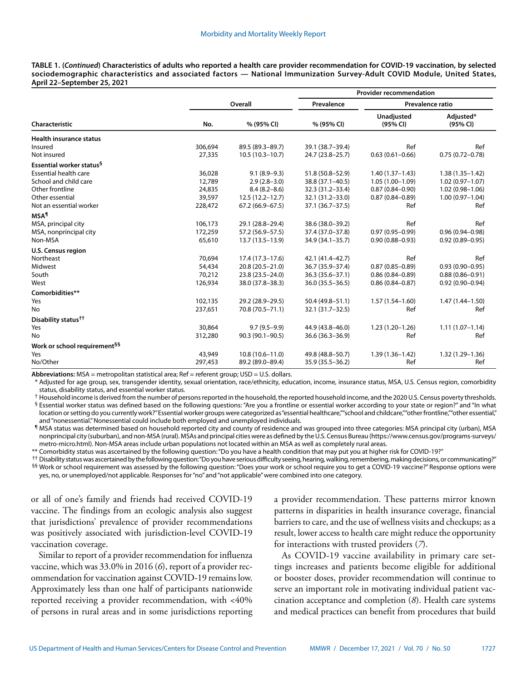**TABLE 1. (***Continued***) Characteristics of adults who reported a health care provider recommendation for COVID-19 vaccination, by selected sociodemographic characteristics and associated factors — National Immunization Survey-Adult COVID Module, United States, April 22–September 25, 2021**

|                                          |         |                     | <b>Provider recommendation</b> |                        |                       |  |
|------------------------------------------|---------|---------------------|--------------------------------|------------------------|-----------------------|--|
|                                          |         | Overall             |                                | Prevalence ratio       |                       |  |
| Characteristic                           | No.     | % (95% CI)          | % (95% CI)                     | Unadjusted<br>(95% CI) | Adjusted*<br>(95% CI) |  |
| <b>Health insurance status</b>           |         |                     |                                |                        |                       |  |
| Insured                                  | 306,694 | 89.5 (89.3-89.7)    | 39.1 (38.7-39.4)               | Ref                    | Ref                   |  |
| Not insured                              | 27,335  | $10.5(10.3 - 10.7)$ | 24.7 (23.8-25.7)               | $0.63(0.61 - 0.66)$    | $0.75(0.72 - 0.78)$   |  |
| Essential worker status <sup>§</sup>     |         |                     |                                |                        |                       |  |
| <b>Essential health care</b>             | 36,028  | $9.1(8.9-9.3)$      | 51.8 (50.8-52.9)               | $1.40(1.37 - 1.43)$    | $1.38(1.35 - 1.42)$   |  |
| School and child care                    | 12,789  | $2.9(2.8-3.0)$      | 38.8 (37.1-40.5)               | $1.05(1.00-1.09)$      | $1.02(0.97 - 1.07)$   |  |
| Other frontline                          | 24,835  | $8.4(8.2 - 8.6)$    | 32.3 (31.2-33.4)               | $0.87(0.84 - 0.90)$    | $1.02(0.98 - 1.06)$   |  |
| Other essential                          | 39,597  | $12.5(12.2 - 12.7)$ | 32.1 (31.2-33.0)               | $0.87(0.84 - 0.89)$    | $1.00(0.97 - 1.04)$   |  |
| Not an essential worker                  | 228,472 | $67.2(66.9 - 67.5)$ | $37.1(36.7 - 37.5)$            | Ref                    | Ref                   |  |
| <b>MSA</b> <sup>1</sup>                  |         |                     |                                |                        |                       |  |
| MSA, principal city                      | 106,173 | 29.1 (28.8-29.4)    | 38.6 (38.0-39.2)               | Ref                    | Ref                   |  |
| MSA, nonprincipal city                   | 172,259 | 57.2 (56.9-57.5)    | 37.4 (37.0-37.8)               | $0.97(0.95 - 0.99)$    | $0.96(0.94 - 0.98)$   |  |
| Non-MSA                                  | 65,610  | 13.7 (13.5-13.9)    | 34.9 (34.1-35.7)               | $0.90(0.88 - 0.93)$    | $0.92(0.89 - 0.95)$   |  |
| U.S. Census region                       |         |                     |                                |                        |                       |  |
| Northeast                                | 70,694  | $17.4(17.3-17.6)$   | 42.1 (41.4-42.7)               | Ref                    | Ref                   |  |
| Midwest                                  | 54,434  | $20.8(20.5 - 21.0)$ | 36.7 (35.9-37.4)               | $0.87(0.85 - 0.89)$    | $0.93(0.90 - 0.95)$   |  |
| South                                    | 70,212  | 23.8 (23.5 - 24.0)  | $36.3(35.6 - 37.1)$            | $0.86(0.84 - 0.89)$    | $0.88(0.86 - 0.91)$   |  |
| West                                     | 126,934 | 38.0 (37.8-38.3)    | $36.0(35.5 - 36.5)$            | $0.86(0.84 - 0.87)$    | $0.92(0.90 - 0.94)$   |  |
| Comorbidities**                          |         |                     |                                |                        |                       |  |
| Yes                                      | 102,135 | 29.2 (28.9-29.5)    | 50.4 (49.8-51.1)               | $1.57(1.54 - 1.60)$    | $1.47(1.44 - 1.50)$   |  |
| No                                       | 237,651 | 70.8 (70.5-71.1)    | 32.1 (31.7-32.5)               | Ref                    | Ref                   |  |
| Disability status <sup>††</sup>          |         |                     |                                |                        |                       |  |
| Yes                                      | 30,864  | $9.7(9.5-9.9)$      | 44.9 (43.8-46.0)               | $1.23(1.20-1.26)$      | $1.11(1.07-1.14)$     |  |
| No                                       | 312,280 | 90.3 (90.1-90.5)    | 36.6 (36.3-36.9)               | Ref                    | Ref                   |  |
| Work or school requirement <sup>§§</sup> |         |                     |                                |                        |                       |  |
| Yes                                      | 43,949  | $10.8(10.6 - 11.0)$ | 49.8 (48.8-50.7)               | $1.39(1.36 - 1.42)$    | $1.32(1.29 - 1.36)$   |  |
| No/Other                                 | 297,453 | 89.2 (89.0-89.4)    | 35.9 (35.5 - 36.2)             | Ref                    | Ref                   |  |

Abbreviations: MSA = metropolitan statistical area; Ref = referent group; USD = U.S. dollars.

Adjusted for age group, sex, transgender identity, sexual orientation, race/ethnicity, education, income, insurance status, MSA, U.S. Census region, comorbidity status, disability status, and essential worker status.

† Household income is derived from the number of persons reported in the household, the reported household income, and the 2020 U.S. Census poverty thresholds.

 $§$  Essential worker status was defined based on the following questions: "Are you a frontline or essential worker according to your state or region?" and "In what location or setting do you currently work?" Essential worker groups were categorized as "essential healthcare,"" school and childcare,"" other frontline," "other essential," and "nonessential." Nonessential could include both employed and unemployed individuals.

¶ MSA status was determined based on household reported city and county of residence and was grouped into three categories: MSA principal city (urban), MSA nonprincipal city (suburban), and non-MSA (rural). MSAs and principal cities were as defined by the U.S. Census Bureau ([https://www.census.gov/programs-surveys/](https://www.census.gov/programs-surveys/metro-micro.html) [metro-micro.html\)](https://www.census.gov/programs-surveys/metro-micro.html). Non-MSA areas include urban populations not located within an MSA as well as completely rural areas.

\*\* Comorbidity status was ascertained by the following question: "Do you have a health condition that may put you at higher risk for COVID-19?"

†† Disability status was ascertained by the following question: "Do you have serious difficulty seeing, hearing, walking, remembering, making decisions, or communicating?" §§ Work or school requirement was assessed by the following question: "Does your work or school require you to get a COVID-19 vaccine?" Response options were yes, no, or unemployed/not applicable. Responses for "no" and "not applicable" were combined into one category.

or all of one's family and friends had received COVID-19 vaccine. The findings from an ecologic analysis also suggest that jurisdictions' prevalence of provider recommendations was positively associated with jurisdiction-level COVID-19 vaccination coverage.

Similar to report of a provider recommendation for influenza vaccine, which was 33.0% in 2016 (*6*), report of a provider recommendation for vaccination against COVID-19 remains low. Approximately less than one half of participants nationwide reported receiving a provider recommendation, with <40% of persons in rural areas and in some jurisdictions reporting a provider recommendation. These patterns mirror known patterns in disparities in health insurance coverage, financial barriers to care, and the use of wellness visits and checkups; as a result, lower access to health care might reduce the opportunity for interactions with trusted providers (*7*).

As COVID-19 vaccine availability in primary care settings increases and patients become eligible for additional or booster doses, provider recommendation will continue to serve an important role in motivating individual patient vaccination acceptance and completion (*8*). Health care systems and medical practices can benefit from procedures that build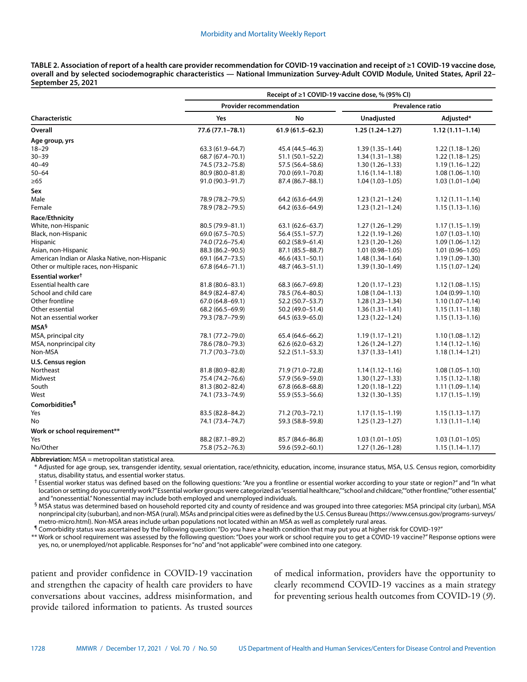| TABLE 2. Association of report of a health care provider recommendation for COVID-19 vaccination and receipt of ≥1 COVID-19 vaccine dose, |
|-------------------------------------------------------------------------------------------------------------------------------------------|
| overall and by selected sociodemographic characteristics — National Immunization Survey-Adult COVID Module, United States, April 22–      |
| September 25, 2021                                                                                                                        |

|                                                | Receipt of ≥1 COVID-19 vaccine dose, % (95% CI) |                                |                     |                     |  |  |  |
|------------------------------------------------|-------------------------------------------------|--------------------------------|---------------------|---------------------|--|--|--|
|                                                |                                                 | <b>Provider recommendation</b> | Prevalence ratio    |                     |  |  |  |
| Characteristic                                 | Yes                                             | No                             | Unadjusted          | Adjusted*           |  |  |  |
| Overall                                        | 77.6 (77.1-78.1)                                | $61.9(61.5 - 62.3)$            | $1.25(1.24 - 1.27)$ | $1.12(1.11 - 1.14)$ |  |  |  |
| Age group, yrs                                 |                                                 |                                |                     |                     |  |  |  |
| $18 - 29$                                      | 63.3 (61.9-64.7)                                | 45.4 (44.5-46.3)               | $1.39(1.35 - 1.44)$ | $1.22(1.18-1.26)$   |  |  |  |
| $30 - 39$                                      | 68.7 (67.4-70.1)                                | $51.1(50.1 - 52.2)$            | $1.34(1.31 - 1.38)$ | $1.22(1.18 - 1.25)$ |  |  |  |
| $40 - 49$                                      | 74.5 (73.2-75.8)                                | 57.5 (56.4–58.6)               | $1.30(1.26 - 1.33)$ | $1.19(1.16 - 1.22)$ |  |  |  |
| $50 - 64$                                      | 80.9 (80.0-81.8)                                | 70.0 (69.1-70.8)               | $1.16(1.14 - 1.18)$ | $1.08(1.06 - 1.10)$ |  |  |  |
| $\geq 65$                                      | 91.0 (90.3-91.7)                                | 87.4 (86.7-88.1)               | $1.04(1.03 - 1.05)$ | $1.03(1.01-1.04)$   |  |  |  |
| Sex                                            |                                                 |                                |                     |                     |  |  |  |
| Male                                           | 78.9 (78.2-79.5)                                | 64.2 (63.6–64.9)               | $1.23(1.21-1.24)$   | $1.12(1.11 - 1.14)$ |  |  |  |
| Female                                         | 78.9 (78.2-79.5)                                | 64.2 (63.6-64.9)               | $1.23(1.21 - 1.24)$ | $1.15(1.13 - 1.16)$ |  |  |  |
| Race/Ethnicity                                 |                                                 |                                |                     |                     |  |  |  |
| White, non-Hispanic                            | 80.5 (79.9-81.1)                                | $63.1(62.6 - 63.7)$            | $1.27(1.26 - 1.29)$ | $1.17(1.15 - 1.19)$ |  |  |  |
| Black, non-Hispanic                            | 69.0 (67.5 - 70.5)                              | 56.4 (55.1–57.7)               | $1.22(1.19-1.26)$   | $1.07(1.03 - 1.10)$ |  |  |  |
| Hispanic                                       | 74.0 (72.6-75.4)                                | 60.2 (58.9-61.4)               | $1.23(1.20-1.26)$   | $1.09(1.06 - 1.12)$ |  |  |  |
| Asian, non-Hispanic                            | 88.3 (86.2-90.5)                                | 87.1 (85.5-88.7)               | $1.01(0.98 - 1.05)$ | $1.01(0.96 - 1.05)$ |  |  |  |
| American Indian or Alaska Native, non-Hispanic | 69.1 (64.7-73.5)                                | 46.6 (43.1-50.1)               | $1.48(1.34 - 1.64)$ | $1.19(1.09 - 1.30)$ |  |  |  |
| Other or multiple races, non-Hispanic          | $67.8(64.6 - 71.1)$                             | 48.7 (46.3–51.1)               | $1.39(1.30-1.49)$   | $1.15(1.07-1.24)$   |  |  |  |
| Essential worker <sup>†</sup>                  |                                                 |                                |                     |                     |  |  |  |
| <b>Essential health care</b>                   | 81.8 (80.6-83.1)                                | 68.3 (66.7-69.8)               | $1.20(1.17-1.23)$   | $1.12(1.08 - 1.15)$ |  |  |  |
| School and child care                          | 84.9 (82.4-87.4)                                | 78.5 (76.4-80.5)               | $1.08(1.04 - 1.13)$ | $1.04(0.99 - 1.10)$ |  |  |  |
| Other frontline                                | $67.0(64.8 - 69.1)$                             | 52.2 (50.7-53.7)               | $1.28(1.23 - 1.34)$ | $1.10(1.07 - 1.14)$ |  |  |  |
| Other essential                                | 68.2 (66.5-69.9)                                | 50.2 (49.0-51.4)               | $1.36(1.31 - 1.41)$ | $1.15(1.11 - 1.18)$ |  |  |  |
| Not an essential worker                        | 79.3 (78.7-79.9)                                | 64.5 (63.9-65.0)               | $1.23(1.22 - 1.24)$ | $1.15(1.13 - 1.16)$ |  |  |  |
| MSA <sup>§</sup>                               |                                                 |                                |                     |                     |  |  |  |
| MSA, principal city                            | 78.1 (77.2-79.0)                                | 65.4 (64.6-66.2)               | $1.19(1.17 - 1.21)$ | $1.10(1.08 - 1.12)$ |  |  |  |
| MSA, nonprincipal city                         | 78.6 (78.0-79.3)                                | $62.6(62.0 - 63.2)$            | $1.26(1.24 - 1.27)$ | $1.14(1.12 - 1.16)$ |  |  |  |
| Non-MSA                                        | 71.7 (70.3-73.0)                                | 52.2 (51.1–53.3)               | $1.37(1.33 - 1.41)$ | $1.18(1.14 - 1.21)$ |  |  |  |
| <b>U.S. Census region</b>                      |                                                 |                                |                     |                     |  |  |  |
| Northeast                                      | 81.8 (80.9-82.8)                                | 71.9 (71.0-72.8)               | $1.14(1.12 - 1.16)$ | $1.08(1.05 - 1.10)$ |  |  |  |
| Midwest                                        | 75.4 (74.2-76.6)                                | 57.9 (56.9-59.0)               | $1.30(1.27 - 1.33)$ | $1.15(1.12 - 1.18)$ |  |  |  |
| South                                          | 81.3 (80.2-82.4)                                | 67.8 (66.8-68.8)               | $1.20(1.18-1.22)$   | $1.11(1.09 - 1.14)$ |  |  |  |
| West                                           | 74.1 (73.3-74.9)                                | 55.9 (55.3-56.6)               | $1.32(1.30-1.35)$   | $1.17(1.15 - 1.19)$ |  |  |  |
| Comorbidities <sup>1</sup>                     |                                                 |                                |                     |                     |  |  |  |
| Yes                                            | 83.5 (82.8-84.2)                                | 71.2 (70.3-72.1)               | $1.17(1.15 - 1.19)$ | $1.15(1.13 - 1.17)$ |  |  |  |
| No                                             | 74.1 (73.4-74.7)                                | 59.3 (58.8-59.8)               | $1.25(1.23 - 1.27)$ | $1.13(1.11 - 1.14)$ |  |  |  |
| Work or school requirement**                   |                                                 |                                |                     |                     |  |  |  |
| Yes                                            | 88.2 (87.1-89.2)                                | 85.7 (84.6-86.8)               | $1.03(1.01-1.05)$   | $1.03(1.01 - 1.05)$ |  |  |  |
| No/Other                                       | 75.8 (75.2-76.3)                                | 59.6 (59.2-60.1)               | $1.27(1.26 - 1.28)$ | $1.15(1.14 - 1.17)$ |  |  |  |

**Abbreviation:** MSA = metropolitan statistical area.

\* Adjusted for age group, sex, transgender identity, sexual orientation, race/ethnicity, education, income, insurance status, MSA, U.S. Census region, comorbidity status, disability status, and essential worker status.

† Essential worker status was defined based on the following questions: "Are you a frontline or essential worker according to your state or region?" and "In what location or setting do you currently work?" Essential worker groups were categorized as "essential healthcare,"" school and childcare,"" other frontline," "other essential," and "nonessential." Nonessential may include both employed and unemployed individuals.

§ MSA status was determined based on household reported city and county of residence and was grouped into three categories: MSA principal city (urban), MSA nonprincipal city (suburban), and non-MSA (rural). MSAs and principal cities were as defined by the U.S. Census Bureau ([https://www.census.gov/programs-surveys/](https://www.census.gov/programs-surveys/metro-micro.html) [metro-micro.html\)](https://www.census.gov/programs-surveys/metro-micro.html). Non-MSA areas include urban populations not located within an MSA as well as completely rural areas.

¶ Comorbidity status was ascertained by the following question: "Do you have a health condition that may put you at higher risk for COVID-19?"

\*\* Work or school requirement was assessed by the following question: "Does your work or school require you to get a COVID-19 vaccine?" Response options were yes, no, or unemployed/not applicable. Responses for "no" and "not applicable" were combined into one category.

patient and provider confidence in COVID-19 vaccination and strengthen the capacity of health care providers to have conversations about vaccines, address misinformation, and provide tailored information to patients. As trusted sources of medical information, providers have the opportunity to clearly recommend COVID-19 vaccines as a main strategy for preventing serious health outcomes from COVID-19 (*9*).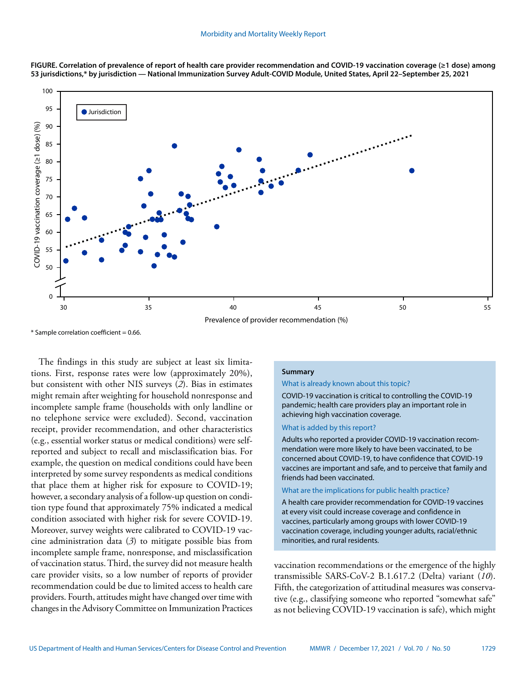



 $*$  Sample correlation coefficient = 0.66.

The findings in this study are subject at least six limitations. First, response rates were low (approximately 20%), but consistent with other NIS surveys (*2*). Bias in estimates might remain after weighting for household nonresponse and incomplete sample frame (households with only landline or no telephone service were excluded). Second, vaccination receipt, provider recommendation, and other characteristics (e.g., essential worker status or medical conditions) were selfreported and subject to recall and misclassification bias. For example, the question on medical conditions could have been interpreted by some survey respondents as medical conditions that place them at higher risk for exposure to COVID-19; however, a secondary analysis of a follow-up question on condition type found that approximately 75% indicated a medical condition associated with higher risk for severe COVID-19. Moreover, survey weights were calibrated to COVID-19 vaccine administration data (*3*) to mitigate possible bias from incomplete sample frame, nonresponse, and misclassification of vaccination status. Third, the survey did not measure health care provider visits, so a low number of reports of provider recommendation could be due to limited access to health care providers. Fourth, attitudes might have changed over time with changes in the Advisory Committee on Immunization Practices

#### **Summary**

#### What is already known about this topic?

COVID-19 vaccination is critical to controlling the COVID-19 pandemic; health care providers play an important role in achieving high vaccination coverage.

# What is added by this report?

Adults who reported a provider COVID-19 vaccination recommendation were more likely to have been vaccinated, to be concerned about COVID-19, to have confidence that COVID-19 vaccines are important and safe, and to perceive that family and friends had been vaccinated.

#### What are the implications for public health practice?

A health care provider recommendation for COVID-19 vaccines at every visit could increase coverage and confidence in vaccines, particularly among groups with lower COVID-19 vaccination coverage, including younger adults, racial/ethnic minorities, and rural residents.

vaccination recommendations or the emergence of the highly transmissible SARS-CoV-2 B.1.617.2 (Delta) variant (*10*). Fifth, the categorization of attitudinal measures was conservative (e.g., classifying someone who reported "somewhat safe" as not believing COVID-19 vaccination is safe), which might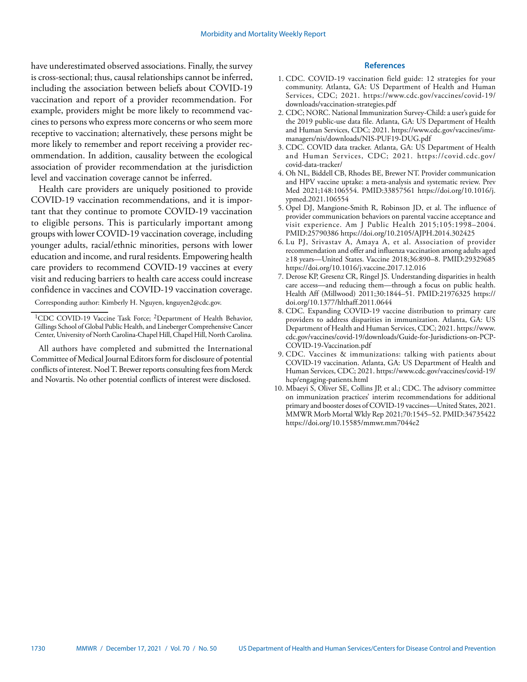have underestimated observed associations. Finally, the survey is cross-sectional; thus, causal relationships cannot be inferred, including the association between beliefs about COVID-19 vaccination and report of a provider recommendation. For example, providers might be more likely to recommend vaccines to persons who express more concerns or who seem more receptive to vaccination; alternatively, these persons might be more likely to remember and report receiving a provider recommendation. In addition, causality between the ecological association of provider recommendation at the jurisdiction level and vaccination coverage cannot be inferred.

Health care providers are uniquely positioned to provide COVID-19 vaccination recommendations, and it is important that they continue to promote COVID-19 vaccination to eligible persons. This is particularly important among groups with lower COVID-19 vaccination coverage, including younger adults, racial/ethnic minorities, persons with lower education and income, and rural residents. Empowering health care providers to recommend COVID-19 vaccines at every visit and reducing barriers to health care access could increase confidence in vaccines and COVID-19 vaccination coverage.

# **References**

- 1. CDC. COVID-19 vaccination field guide: 12 strategies for your community. Atlanta, GA: US Department of Health and Human Services, CDC; 2021. [https://www.cdc.gov/vaccines/covid-19/](https://www.cdc.gov/vaccines/covid-19/downloads/vaccination-strategies.pdf) [downloads/vaccination-strategies.pdf](https://www.cdc.gov/vaccines/covid-19/downloads/vaccination-strategies.pdf)
- 2. CDC; NORC. National Immunization Survey-Child: a user's guide for the 2019 public-use data file. Atlanta, GA: US Department of Health and Human Services, CDC; 2021. [https://www.cdc.gov/vaccines/imz](https://www.cdc.gov/vaccines/imz-managers/nis/downloads/NIS-PUF19-DUG.pdf)[managers/nis/downloads/NIS-PUF19-DUG.pdf](https://www.cdc.gov/vaccines/imz-managers/nis/downloads/NIS-PUF19-DUG.pdf)
- 3. CDC. COVID data tracker. Atlanta, GA: US Department of Health and Human Services, CDC; 2021. [https://covid.cdc.gov/](https://covid.cdc.gov/covid-data-tracker/) [covid-data-tracker/](https://covid.cdc.gov/covid-data-tracker/)
- 4. Oh NL, Biddell CB, Rhodes BE, Brewer NT. Provider communication and HPV vaccine uptake: a meta-analysis and systematic review. Prev Med 2021;148:106554[. PMID:33857561](https://www.ncbi.nlm.nih.gov/entrez/query.fcgi?cmd=Retrieve&db=PubMed&list_uids=33857561&dopt=Abstract) [https://doi.org/10.1016/j.](https://doi.org/10.1016/j.ypmed.2021.106554) [ypmed.2021.106554](https://doi.org/10.1016/j.ypmed.2021.106554)
- 5. Opel DJ, Mangione-Smith R, Robinson JD, et al. The influence of provider communication behaviors on parental vaccine acceptance and visit experience. Am J Public Health 2015;105:1998–2004. [PMID:25790386](https://www.ncbi.nlm.nih.gov/entrez/query.fcgi?cmd=Retrieve&db=PubMed&list_uids=25790386&dopt=Abstract) <https://doi.org/10.2105/AJPH.2014.302425>
- 6. Lu PJ, Srivastav A, Amaya A, et al. Association of provider recommendation and offer and influenza vaccination among adults aged ≥18 years—United States. Vaccine 2018;36:890–8. [PMID:29329685](https://www.ncbi.nlm.nih.gov/entrez/query.fcgi?cmd=Retrieve&db=PubMed&list_uids=29329685&dopt=Abstract) <https://doi.org/10.1016/j.vaccine.2017.12.016>
- 7. Derose KP, Gresenz CR, Ringel JS. Understanding disparities in health care access—and reducing them—through a focus on public health. Health Aff (Millwood) 2011;30:1844–51[. PMID:21976325](https://www.ncbi.nlm.nih.gov/entrez/query.fcgi?cmd=Retrieve&db=PubMed&list_uids=21976325&dopt=Abstract) [https://](https://doi.org/10.1377/hlthaff.2011.0644) [doi.org/10.1377/hlthaff.2011.0644](https://doi.org/10.1377/hlthaff.2011.0644)
- 8. CDC. Expanding COVID-19 vaccine distribution to primary care providers to address disparities in immunization. Atlanta, GA: US Department of Health and Human Services, CDC; 2021. [https://www.](https://www.cdc.gov/vaccines/covid-19/downloads/Guide-for-Jurisdictions-on-PCP-COVID-19-Vaccination.pdf) [cdc.gov/vaccines/covid-19/downloads/Guide-for-Jurisdictions-on-PCP-](https://www.cdc.gov/vaccines/covid-19/downloads/Guide-for-Jurisdictions-on-PCP-COVID-19-Vaccination.pdf)[COVID-19-Vaccination.pdf](https://www.cdc.gov/vaccines/covid-19/downloads/Guide-for-Jurisdictions-on-PCP-COVID-19-Vaccination.pdf)
- 9. CDC. Vaccines & immunizations: talking with patients about COVID-19 vaccination. Atlanta, GA: US Department of Health and Human Services, CDC; 2021. [https://www.cdc.gov/vaccines/covid-19/](https://www.cdc.gov/vaccines/covid-19/hcp/engaging-patients.html) [hcp/engaging-patients.html](https://www.cdc.gov/vaccines/covid-19/hcp/engaging-patients.html)
- 10. Mbaeyi S, Oliver SE, Collins JP, et al.; CDC. The advisory committee on immunization practices' interim recommendations for additional primary and booster doses of COVID-19 vaccines—United States, 2021. MMWR Morb Mortal Wkly Rep 2021;70:1545–52. [PMID:34735422](https://www.ncbi.nlm.nih.gov/entrez/query.fcgi?cmd=Retrieve&db=PubMed&list_uids=34735422&dopt=Abstract) <https://doi.org/10.15585/mmwr.mm7044e2>

Corresponding author: Kimberly H. Nguyen, [knguyen2@cdc.gov.](mailto:knguyen2@cdc.gov)

<sup>&</sup>lt;sup>1</sup>CDC COVID-19 Vaccine Task Force; <sup>2</sup>Department of Health Behavior, Gillings School of Global Public Health, and Lineberger Comprehensive Cancer Center, University of North Carolina-Chapel Hill, Chapel Hill, North Carolina.

All authors have completed and submitted the International Committee of Medical Journal Editors form for disclosure of potential conflicts of interest. Noel T. Brewer reports consulting fees from Merck and Novartis. No other potential conflicts of interest were disclosed.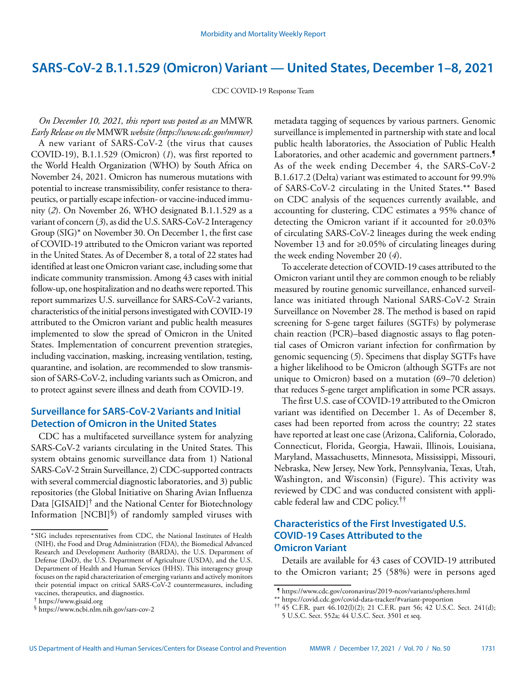# <span id="page-8-0"></span>**SARS-CoV-2 B.1.1.529 (Omicron) Variant — United States, December 1–8, 2021**

CDC COVID-19 Response Team

*On December 10, 2021, this report was posted as an* MMWR *Early Release on the* MMWR *website [\(https://www.cdc.gov/mmwr\)](https://www.cdc.gov/mmwr)*  A new variant of SARS-CoV-2 (the virus that causes COVID-19), B.1.1.529 (Omicron) (*1*), was first reported to the World Health Organization (WHO) by South Africa on November 24, 2021. Omicron has numerous mutations with potential to increase transmissibility, confer resistance to therapeutics, or partially escape infection- or vaccine-induced immunity (*2*). On November 26, WHO designated B.1.1.529 as a variant of concern (*3*), as did the U.S. SARS-CoV-2 Interagency Group (SIG)\* on November 30. On December 1, the first case of COVID-19 attributed to the Omicron variant was reported in the United States. As of December 8, a total of 22 states had identified at least one Omicron variant case, including some that indicate community transmission. Among 43 cases with initial follow-up, one hospitalization and no deaths were reported. This report summarizes U.S. surveillance for SARS-CoV-2 variants, characteristics of the initial persons investigated with COVID-19 attributed to the Omicron variant and public health measures implemented to slow the spread of Omicron in the United States. Implementation of concurrent prevention strategies, including vaccination, masking, increasing ventilation, testing, quarantine, and isolation, are recommended to slow transmission of SARS-CoV-2, including variants such as Omicron, and to protect against severe illness and death from COVID-19.

# **Surveillance for SARS-CoV-2 Variants and Initial Detection of Omicron in the United States**

CDC has a multifaceted surveillance system for analyzing SARS-CoV-2 variants circulating in the United States. This system obtains genomic surveillance data from 1) National SARS-CoV-2 Strain Surveillance, 2) CDC-supported contracts with several commercial diagnostic laboratories, and 3) public repositories (the Global Initiative on Sharing Avian Influenza Data [GISAID]<sup>†</sup> and the National Center for Biotechnology Information [NCBI]§) of randomly sampled viruses with

metadata tagging of sequences by various partners. Genomic surveillance is implemented in partnership with state and local public health laboratories, the Association of Public Health Laboratories, and other academic and government partners.<sup>5</sup> As of the week ending December 4, the SARS-CoV-2 B.1.617.2 (Delta) variant was estimated to account for 99.9% of SARS-CoV-2 circulating in the United States.\*\* Based on CDC analysis of the sequences currently available, and accounting for clustering, CDC estimates a 95% chance of detecting the Omicron variant if it accounted for ≥0.03% of circulating SARS-CoV-2 lineages during the week ending November 13 and for ≥0.05% of circulating lineages during the week ending November 20 (*4*).

To accelerate detection of COVID-19 cases attributed to the Omicron variant until they are common enough to be reliably measured by routine genomic surveillance, enhanced surveillance was initiated through National SARS-CoV-2 Strain Surveillance on November 28. The method is based on rapid screening for S-gene target failures (SGTFs) by polymerase chain reaction (PCR)–based diagnostic assays to flag potential cases of Omicron variant infection for confirmation by genomic sequencing (*5*). Specimens that display SGTFs have a higher likelihood to be Omicron (although SGTFs are not unique to Omicron) based on a mutation (69–70 deletion) that reduces S-gene target amplification in some PCR assays.

The first U.S. case of COVID-19 attributed to the Omicron variant was identified on December 1. As of December 8, cases had been reported from across the country; 22 states have reported at least one case (Arizona, California, Colorado, Connecticut, Florida, Georgia, Hawaii, Illinois, Louisiana, Maryland, Massachusetts, Minnesota, Mississippi, Missouri, Nebraska, New Jersey, New York, Pennsylvania, Texas, Utah, Washington, and Wisconsin) (Figure). This activity was reviewed by CDC and was conducted consistent with applicable federal law and CDC policy.††

# **Characteristics of the First Investigated U.S. COVID-19 Cases Attributed to the Omicron Variant**

Details are available for 43 cases of COVID-19 attributed to the Omicron variant; 25 (58%) were in persons aged

<sup>\*</sup> SIG includes representatives from CDC, the National Institutes of Health (NIH), the Food and Drug Administration (FDA), the Biomedical Advanced Research and Development Authority (BARDA), the U.S. Department of Defense (DoD), the U.S. Department of Agriculture (USDA), and the U.S. Department of Health and Human Services (HHS). This interagency group focuses on the rapid characterization of emerging variants and actively monitors their potential impact on critical SARS-CoV-2 countermeasures, including vaccines, therapeutics, and diagnostics.

<sup>†</sup> <https://www.gisaid.org>

<sup>§</sup> <https://www.ncbi.nlm.nih.gov/sars-cov-2>

<sup>¶</sup> <https://www.cdc.gov/coronavirus/2019-ncov/variants/spheres.html>

<sup>\*\*</sup> <https://covid.cdc.gov/covid-data-tracker/#variant-proportion>

 $\uparrow$  † 45 C.F.R. part 46.102(l)(2); 21 C.F.R. part 56; 42 U.S.C. Sect. 241(d); 5 U.S.C. Sect. 552a; 44 U.S.C. Sect. 3501 et seq.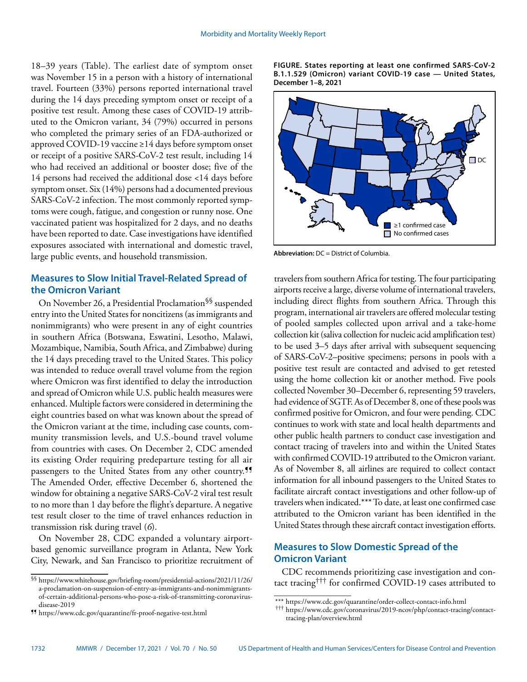18–39 years (Table). The earliest date of symptom onset was November 15 in a person with a history of international travel. Fourteen (33%) persons reported international travel during the 14 days preceding symptom onset or receipt of a positive test result. Among these cases of COVID-19 attributed to the Omicron variant, 34 (79%) occurred in persons who completed the primary series of an FDA-authorized or approved COVID-19 vaccine ≥14 days before symptom onset or receipt of a positive SARS-CoV-2 test result, including 14 who had received an additional or booster dose; five of the 14 persons had received the additional dose <14 days before symptom onset. Six (14%) persons had a documented previous SARS-CoV-2 infection. The most commonly reported symptoms were cough, fatigue, and congestion or runny nose. One vaccinated patient was hospitalized for 2 days, and no deaths have been reported to date. Case investigations have identified exposures associated with international and domestic travel, large public events, and household transmission.

# **Measures to Slow Initial Travel-Related Spread of the Omicron Variant**

On November 26, a Presidential Proclamation§§ suspended entry into the United States for noncitizens (as immigrants and nonimmigrants) who were present in any of eight countries in southern Africa (Botswana, Eswatini, Lesotho, Malawi, Mozambique, Namibia, South Africa, and Zimbabwe) during the 14 days preceding travel to the United States. This policy was intended to reduce overall travel volume from the region where Omicron was first identified to delay the introduction and spread of Omicron while U.S. public health measures were enhanced. Multiple factors were considered in determining the eight countries based on what was known about the spread of the Omicron variant at the time, including case counts, community transmission levels, and U.S.-bound travel volume from countries with cases. On December 2, CDC amended its existing Order requiring predeparture testing for all air passengers to the United States from any other country.<sup>99</sup> The Amended Order, effective December 6, shortened the window for obtaining a negative SARS-CoV-2 viral test result to no more than 1 day before the flight's departure. A negative test result closer to the time of travel enhances reduction in transmission risk during travel (*6*).

On November 28, CDC expanded a voluntary airportbased genomic surveillance program in Atlanta, New York City, Newark, and San Francisco to prioritize recruitment of **FIGURE. States reporting at least one confirmed SARS-CoV-2 B.1.1.529 (Omicron) variant COVID-19 case — United States, December 1–8, 2021**



**Abbreviation:** DC = District of Columbia.

travelers from southern Africa for testing. The four participating airports receive a large, diverse volume of international travelers, including direct flights from southern Africa. Through this program, international air travelers are offered molecular testing of pooled samples collected upon arrival and a take-home collection kit (saliva collection for nucleic acid amplification test) to be used 3–5 days after arrival with subsequent sequencing of SARS-CoV-2–positive specimens; persons in pools with a positive test result are contacted and advised to get retested using the home collection kit or another method. Five pools collected November 30–December 6, representing 59 travelers, had evidence of SGTF. As of December 8, one of these pools was confirmed positive for Omicron, and four were pending. CDC continues to work with state and local health departments and other public health partners to conduct case investigation and contact tracing of travelers into and within the United States with confirmed COVID-19 attributed to the Omicron variant. As of November 8, all airlines are required to collect contact information for all inbound passengers to the United States to facilitate aircraft contact investigations and other follow-up of travelers when indicated.\*\*\* To date, at least one confirmed case attributed to the Omicron variant has been identified in the United States through these aircraft contact investigation efforts.

# **Measures to Slow Domestic Spread of the Omicron Variant**

CDC recommends prioritizing case investigation and contact tracing††† for confirmed COVID-19 cases attributed to

<sup>§§</sup> [https://www.whitehouse.gov/briefing-room/presidential-actions/2021/11/26/](https://www.whitehouse.gov/briefing-room/presidential-actions/2021/11/26/a-proclamation-on-suspension-of-entry-as-immigrants-and-nonimmigrants-of-certain-additional-persons-who-pose-a-risk-of-transmitting-coronavirus-disease-2019) [a-proclamation-on-suspension-of-entry-as-immigrants-and-nonimmigrants](https://www.whitehouse.gov/briefing-room/presidential-actions/2021/11/26/a-proclamation-on-suspension-of-entry-as-immigrants-and-nonimmigrants-of-certain-additional-persons-who-pose-a-risk-of-transmitting-coronavirus-disease-2019)[of-certain-additional-persons-who-pose-a-risk-of-transmitting-coronavirus](https://www.whitehouse.gov/briefing-room/presidential-actions/2021/11/26/a-proclamation-on-suspension-of-entry-as-immigrants-and-nonimmigrants-of-certain-additional-persons-who-pose-a-risk-of-transmitting-coronavirus-disease-2019)[disease-2019](https://www.whitehouse.gov/briefing-room/presidential-actions/2021/11/26/a-proclamation-on-suspension-of-entry-as-immigrants-and-nonimmigrants-of-certain-additional-persons-who-pose-a-risk-of-transmitting-coronavirus-disease-2019)

<sup>¶¶</sup> <https://www.cdc.gov/quarantine/fr-proof-negative-test.html>

<sup>\*\*\*</sup> <https://www.cdc.gov/quarantine/order-collect-contact-info.html>

<sup>†††</sup> [https://www.cdc.gov/coronavirus/2019-ncov/php/contact-tracing/contact](https://www.cdc.gov/coronavirus/2019-ncov/php/contact-tracing/contact-tracing-plan/overview.html)[tracing-plan/overview.html](https://www.cdc.gov/coronavirus/2019-ncov/php/contact-tracing/contact-tracing-plan/overview.html)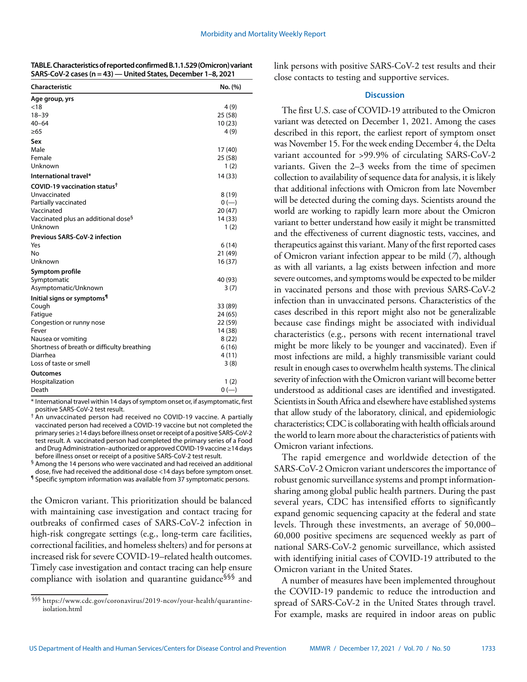| TABLE. Characteristics of reported confirmed B.1.1.529 (Omicron) variant |
|--------------------------------------------------------------------------|
| SARS-CoV-2 cases (n = 43) — United States, December 1–8, 2021            |

| Characteristic                                  | No. (%) |
|-------------------------------------------------|---------|
| Age group, yrs                                  |         |
| < 18                                            | 4(9)    |
| $18 - 39$                                       | 25 (58) |
| $40 - 64$                                       | 10(23)  |
| $\geq 65$                                       | 4(9)    |
| Sex                                             |         |
| Male                                            | 17 (40) |
| Female                                          | 25 (58) |
| Unknown                                         | 1(2)    |
| International travel*                           | 14 (33) |
| COVID-19 vaccination status <sup>+</sup>        |         |
| Unvaccinated                                    | 8(19)   |
| Partially vaccinated                            | $0 (-)$ |
| Vaccinated                                      | 20(47)  |
| Vaccinated plus an additional dose <sup>§</sup> | 14 (33) |
| Unknown                                         | 1(2)    |
| <b>Previous SARS-CoV-2 infection</b>            |         |
| Yes                                             | 6(14)   |
| No                                              | 21 (49) |
| Unknown                                         | 16(37)  |
| Symptom profile                                 |         |
| Symptomatic                                     | 40 (93) |
| Asymptomatic/Unknown                            | 3(7)    |
| Initial signs or symptoms <sup>1</sup>          |         |
| Cough                                           | 33 (89) |
| Fatigue                                         | 24 (65) |
| Congestion or runny nose                        | 22 (59) |
| Fever                                           | 14 (38) |
| Nausea or vomiting                              | 8(22)   |
| Shortness of breath or difficulty breathing     | 6(16)   |
| Diarrhea                                        | 4(11)   |
| Loss of taste or smell                          | 3(8)    |
| <b>Outcomes</b>                                 |         |
| Hospitalization                                 | 1(2)    |
| Death                                           | $0 (-)$ |

\* International travel within 14 days of symptom onset or, if asymptomatic, first positive SARS-CoV-2 test result.

† An unvaccinated person had received no COVID-19 vaccine. A partially vaccinated person had received a COVID-19 vaccine but not completed the primary series ≥14 days before illness onset or receipt of a positive SARS-CoV-2 test result. A vaccinated person had completed the primary series of a Food and Drug Administration–authorized or approved COVID-19 vaccine ≥14 days before illness onset or receipt of a positive SARS-CoV-2 test result.

§ Among the 14 persons who were vaccinated and had received an additional dose, five had received the additional dose <14 days before symptom onset.

¶ Specific symptom information was available from 37 symptomatic persons.

the Omicron variant. This prioritization should be balanced with maintaining case investigation and contact tracing for outbreaks of confirmed cases of SARS-CoV-2 infection in high-risk congregate settings (e.g., long-term care facilities, correctional facilities, and homeless shelters) and for persons at increased risk for severe COVID-19–related health outcomes. Timely case investigation and contact tracing can help ensure compliance with isolation and quarantine guidance§§§ and

link persons with positive SARS-CoV-2 test results and their close contacts to testing and supportive services.

## **Discussion**

The first U.S. case of COVID-19 attributed to the Omicron variant was detected on December 1, 2021. Among the cases described in this report, the earliest report of symptom onset was November 15. For the week ending December 4, the Delta variant accounted for >99.9% of circulating SARS-CoV-2 variants. Given the 2–3 weeks from the time of specimen collection to availability of sequence data for analysis, it is likely that additional infections with Omicron from late November will be detected during the coming days. Scientists around the world are working to rapidly learn more about the Omicron variant to better understand how easily it might be transmitted and the effectiveness of current diagnostic tests, vaccines, and therapeutics against this variant. Many of the first reported cases of Omicron variant infection appear to be mild (*7*), although as with all variants, a lag exists between infection and more severe outcomes, and symptoms would be expected to be milder in vaccinated persons and those with previous SARS-CoV-2 infection than in unvaccinated persons. Characteristics of the cases described in this report might also not be generalizable because case findings might be associated with individual characteristics (e.g., persons with recent international travel might be more likely to be younger and vaccinated). Even if most infections are mild, a highly transmissible variant could result in enough cases to overwhelm health systems. The clinical severity of infection with the Omicron variant will become better understood as additional cases are identified and investigated. Scientists in South Africa and elsewhere have established systems that allow study of the laboratory, clinical, and epidemiologic characteristics; CDC is collaborating with health officials around the world to learn more about the characteristics of patients with Omicron variant infections.

The rapid emergence and worldwide detection of the SARS-CoV-2 Omicron variant underscores the importance of robust genomic surveillance systems and prompt informationsharing among global public health partners. During the past several years, CDC has intensified efforts to significantly expand genomic sequencing capacity at the federal and state levels. Through these investments, an average of 50,000– 60,000 positive specimens are sequenced weekly as part of national SARS-CoV-2 genomic surveillance, which assisted with identifying initial cases of COVID-19 attributed to the Omicron variant in the United States.

A number of measures have been implemented throughout the COVID-19 pandemic to reduce the introduction and spread of SARS-CoV-2 in the United States through travel. For example, masks are required in indoor areas on public

<sup>§§§</sup> [https://www.cdc.gov/coronavirus/2019-ncov/your-health/quarantine](https://www.cdc.gov/coronavirus/2019-ncov/your-health/quarantine-isolation.html)[isolation.html](https://www.cdc.gov/coronavirus/2019-ncov/your-health/quarantine-isolation.html)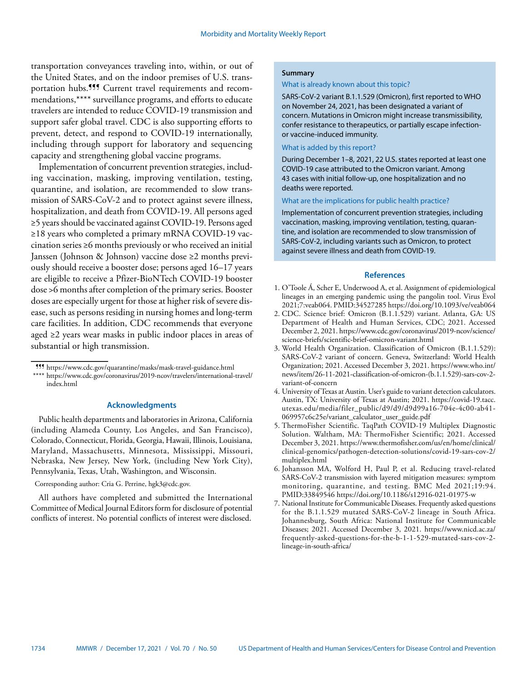transportation conveyances traveling into, within, or out of the United States, and on the indoor premises of U.S. transportation hubs.<sup>999</sup> Current travel requirements and recommendations,\*\*\*\* surveillance programs, and efforts to educate travelers are intended to reduce COVID-19 transmission and support safer global travel. CDC is also supporting efforts to prevent, detect, and respond to COVID-19 internationally, including through support for laboratory and sequencing capacity and strengthening global vaccine programs.

Implementation of concurrent prevention strategies, including vaccination, masking, improving ventilation, testing, quarantine, and isolation, are recommended to slow transmission of SARS-CoV-2 and to protect against severe illness, hospitalization, and death from COVID-19. All persons aged ≥5 years should be vaccinated against COVID-19. Persons aged ≥18 years who completed a primary mRNA COVID-19 vaccination series ≥6 months previously or who received an initial Janssen (Johnson & Johnson) vaccine dose ≥2 months previously should receive a booster dose; persons aged 16–17 years are eligible to receive a Pfizer-BioNTech COVID-19 booster dose >6 months after completion of the primary series. Booster doses are especially urgent for those at higher risk of severe disease, such as persons residing in nursing homes and long-term care facilities. In addition, CDC recommends that everyone aged ≥2 years wear masks in public indoor places in areas of substantial or high transmission.

## **Acknowledgments**

Public health departments and laboratories in Arizona, California (including Alameda County, Los Angeles, and San Francisco), Colorado, Connecticut, Florida, Georgia, Hawaii, Illinois, Louisiana, Maryland, Massachusetts, Minnesota, Mississippi, Missouri, Nebraska, New Jersey, New York, (including New York City), Pennsylvania, Texas, Utah, Washington, and Wisconsin.

# Corresponding author: Cria G. Perrine, [hgk3@cdc.gov.](mailto:hgk3@cdc.gov)

All authors have completed and submitted the International Committee of Medical Journal Editors form for disclosure of potential conflicts of interest. No potential conflicts of interest were disclosed.

#### **Summary**

#### What is already known about this topic?

SARS-CoV-2 variant B.1.1.529 (Omicron), first reported to WHO on November 24, 2021, has been designated a variant of concern. Mutations in Omicron might increase transmissibility, confer resistance to therapeutics, or partially escape infectionor vaccine-induced immunity.

#### What is added by this report?

During December 1–8, 2021, 22 U.S. states reported at least one COVID-19 case attributed to the Omicron variant. Among 43 cases with initial follow-up, one hospitalization and no deaths were reported.

#### What are the implications for public health practice?

Implementation of concurrent prevention strategies, including vaccination, masking, improving ventilation, testing, quarantine, and isolation are recommended to slow transmission of SARS-CoV-2, including variants such as Omicron, to protect against severe illness and death from COVID-19.

#### **References**

- 1. O'Toole Á, Scher E, Underwood A, et al. Assignment of epidemiological lineages in an emerging pandemic using the pangolin tool. Virus Evol 2021;7:veab064. [PMID:34527285](https://www.ncbi.nlm.nih.gov/entrez/query.fcgi?cmd=Retrieve&db=PubMed&list_uids=34527285&dopt=Abstract) <https://doi.org/10.1093/ve/veab064>
- 2. CDC. Science brief: Omicron (B.1.1.529) variant. Atlanta, GA: US Department of Health and Human Services, CDC; 2021. Accessed December 2, 2021. [https://www.cdc.gov/coronavirus/2019-ncov/science/](https://www.cdc.gov/coronavirus/2019-ncov/science/science-briefs/scientific-brief-omicron-variant.html) [science-briefs/scientific-brief-omicron-variant.html](https://www.cdc.gov/coronavirus/2019-ncov/science/science-briefs/scientific-brief-omicron-variant.html)
- 3. World Health Organization. Classification of Omicron (B.1.1.529): SARS-CoV-2 variant of concern. Geneva, Switzerland: World Health Organization; 2021. Accessed December 3, 2021. [https://www.who.int/](https://www.who.int/news/item/26-11-2021-classification-of-omicron-(b.1.1.529)-sars-cov-2-variant-of-concern) [news/item/26-11-2021-classification-of-omicron-\(b.1.1.529\)-sars-cov-2](https://www.who.int/news/item/26-11-2021-classification-of-omicron-(b.1.1.529)-sars-cov-2-variant-of-concern) [variant-of-concern](https://www.who.int/news/item/26-11-2021-classification-of-omicron-(b.1.1.529)-sars-cov-2-variant-of-concern)
- 4. University of Texas at Austin. User's guide to variant detection calculators. Austin, TX: University of Texas at Austin; 2021. [https://covid-19.tacc.](https://covid-19.tacc.utexas.edu/media/filer_public/d9/d9/d9d99a16-704e-4c00-ab41-069957c6c25e/variant_calculator_user_guide.pdf) [utexas.edu/media/filer\\_public/d9/d9/d9d99a16-704e-4c00-ab41-](https://covid-19.tacc.utexas.edu/media/filer_public/d9/d9/d9d99a16-704e-4c00-ab41-069957c6c25e/variant_calculator_user_guide.pdf) [069957c6c25e/variant\\_calculator\\_user\\_guide.pdf](https://covid-19.tacc.utexas.edu/media/filer_public/d9/d9/d9d99a16-704e-4c00-ab41-069957c6c25e/variant_calculator_user_guide.pdf)
- 5. ThermoFisher Scientific. TaqPath COVID-19 Multiplex Diagnostic Solution. Waltham, MA: ThermoFisher Scientific; 2021. Accessed December 3, 2021. [https://www.thermofisher.com/us/en/home/clinical/](https://www.thermofisher.com/us/en/home/clinical/clinical-genomics/pathogen-detection-solutions/covid-19-sars-cov-2/multiplex.html) [clinical-genomics/pathogen-detection-solutions/covid-19-sars-cov-2/](https://www.thermofisher.com/us/en/home/clinical/clinical-genomics/pathogen-detection-solutions/covid-19-sars-cov-2/multiplex.html) [multiplex.html](https://www.thermofisher.com/us/en/home/clinical/clinical-genomics/pathogen-detection-solutions/covid-19-sars-cov-2/multiplex.html)
- 6. Johansson MA, Wolford H, Paul P, et al. Reducing travel-related SARS-CoV-2 transmission with layered mitigation measures: symptom monitoring, quarantine, and testing. BMC Med 2021;19:94. [PMID:33849546](https://www.ncbi.nlm.nih.gov/entrez/query.fcgi?cmd=Retrieve&db=PubMed&list_uids=33849546&dopt=Abstract) <https://doi.org/10.1186/s12916-021-01975-w>
- 7. National Institute for Communicable Diseases. Frequently asked questions for the B.1.1.529 mutated SARS-CoV-2 lineage in South Africa. Johannesburg, South Africa: National Institute for Communicable Diseases; 2021. Accessed December 3, 2021. [https://www.nicd.ac.za/](https://www.nicd.ac.za/frequently-asked-questions-for-the-b-1-1-529-mutated-sars-cov-2-lineage-in-south-africa/) [frequently-asked-questions-for-the-b-1-1-529-mutated-sars-cov-2](https://www.nicd.ac.za/frequently-asked-questions-for-the-b-1-1-529-mutated-sars-cov-2-lineage-in-south-africa/) [lineage-in-south-africa/](https://www.nicd.ac.za/frequently-asked-questions-for-the-b-1-1-529-mutated-sars-cov-2-lineage-in-south-africa/)

<sup>¶¶¶</sup> <https://www.cdc.gov/quarantine/masks/mask-travel-guidance.html> \*\*\*\* [https://www.cdc.gov/coronavirus/2019-ncov/travelers/international-travel/](https://www.cdc.gov/coronavirus/2019-ncov/travelers/international-travel/index.html) [index.html](https://www.cdc.gov/coronavirus/2019-ncov/travelers/international-travel/index.html)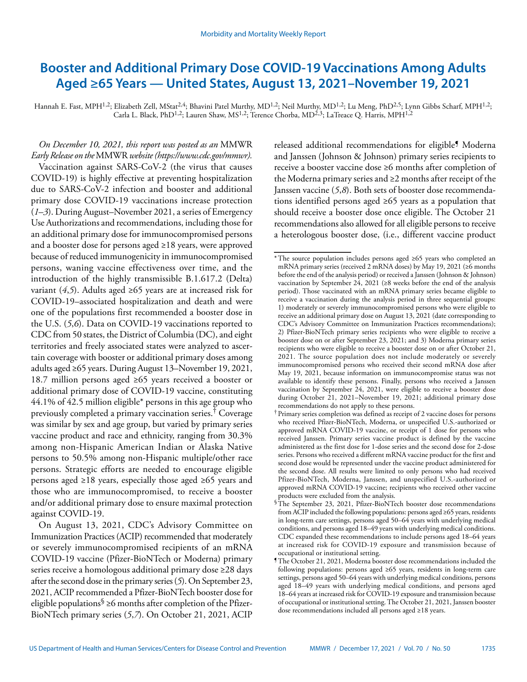# <span id="page-12-0"></span>**Booster and Additional Primary Dose COVID-19 Vaccinations Among Adults Aged ≥65 Years — United States, August 13, 2021–November 19, 2021**

Hannah E. Fast, MPH<sup>1,2</sup>; Elizabeth Zell, MStat<sup>2,4</sup>; Bhavini Patel Murthy, MD<sup>1,2</sup>; Neil Murthy, MD<sup>1,2</sup>; Lu Meng, PhD<sup>2,5</sup>; Lynn Gibbs Scharf, MPH<sup>1,2</sup>; Carla L. Black, PhD<sup>1,2</sup>; Lauren Shaw, MS<sup>1,2</sup>; Terence Chorba, MD<sup>2,3</sup>; LaTreace Q. Harris, MPH<sup>1,2</sup>

*On December 10, 2021, this report was posted as an* MMWR *Early Release on the* MMWR *website (<https://www.cdc.gov/mmwr>).*  Vaccination against SARS-CoV-2 (the virus that causes COVID-19) is highly effective at preventing hospitalization due to SARS-CoV-2 infection and booster and additional primary dose COVID-19 vaccinations increase protection (*1*–*3*). During August–November 2021, a series of Emergency Use Authorizations and recommendations, including those for an additional primary dose for immunocompromised persons and a booster dose for persons aged ≥18 years, were approved because of reduced immunogenicity in immunocompromised persons, waning vaccine effectiveness over time, and the introduction of the highly transmissible B.1.617.2 (Delta) variant  $(4,5)$ . Adults aged ≥65 years are at increased risk for COVID-19–associated hospitalization and death and were one of the populations first recommended a booster dose in the U.S. (*5*,*6*). Data on COVID-19 vaccinations reported to CDC from 50 states, the District of Columbia (DC), and eight territories and freely associated states were analyzed to ascertain coverage with booster or additional primary doses among adults aged ≥65 years. During August 13–November 19, 2021, 18.7 million persons aged ≥65 years received a booster or additional primary dose of COVID-19 vaccine, constituting 44.1% of 42.5 million eligible\* persons in this age group who previously completed a primary vaccination series.† Coverage was similar by sex and age group, but varied by primary series vaccine product and race and ethnicity, ranging from 30.3% among non-Hispanic American Indian or Alaska Native persons to 50.5% among non-Hispanic multiple/other race persons. Strategic efforts are needed to encourage eligible persons aged ≥18 years, especially those aged ≥65 years and those who are immunocompromised, to receive a booster and/or additional primary dose to ensure maximal protection against COVID-19.

On August 13, 2021, CDC's Advisory Committee on Immunization Practices (ACIP) recommended that moderately or severely immunocompromised recipients of an mRNA COVID-19 vaccine (Pfizer-BioNTech or Moderna) primary series receive a homologous additional primary dose ≥28 days after the second dose in the primary series (*5*). On September 23, 2021, ACIP recommended a Pfizer-BioNTech booster dose for eligible populations<sup>§</sup> ≥6 months after completion of the Pfizer-BioNTech primary series (*5*,*7*). On October 21, 2021, ACIP

released additional recommendations for eligible<sup>5</sup> Moderna and Janssen (Johnson & Johnson) primary series recipients to receive a booster vaccine dose ≥6 months after completion of the Moderna primary series and ≥2 months after receipt of the Janssen vaccine (*5*,*8*). Both sets of booster dose recommendations identified persons aged ≥65 years as a population that should receive a booster dose once eligible. The October 21 recommendations also allowed for all eligible persons to receive a heterologous booster dose, (i.e., different vaccine product

<sup>\*</sup>The source population includes persons aged ≥65 years who completed an mRNA primary series (received 2 mRNA doses) by May 19, 2021 (≥6 months before the end of the analysis period) or received a Janssen (Johnson & Johnson) vaccination by September 24, 2021 (≥8 weeks before the end of the analysis period). Those vaccinated with an mRNA primary series became eligible to receive a vaccination during the analysis period in three sequential groups: 1) moderately or severely immunocompromised persons who were eligible to receive an additional primary dose on August 13, 2021 (date corresponding to CDC's Advisory Committee on Immunization Practices recommendations); 2) Pfizer-BioNTech primary series recipients who were eligible to receive a booster dose on or after September 23, 2021; and 3) Moderna primary series recipients who were eligible to receive a booster dose on or after October 21, 2021. The source population does not include moderately or severely immunocompromised persons who received their second mRNA dose after May 19, 2021, because information on immunocompromise status was not available to identify these persons. Finally, persons who received a Janssen vaccination by September 24, 2021, were eligible to receive a booster dose during October 21, 2021–November 19, 2021; additional primary dose recommendations do not apply to these persons.

<sup>†</sup> Primary series completion was defined as receipt of 2 vaccine doses for persons who received Pfizer-BioNTech, Moderna, or unspecified U.S.-authorized or approved mRNA COVID-19 vaccine, or receipt of 1 dose for persons who received Janssen. Primary series vaccine product is defined by the vaccine administered as the first dose for 1-dose series and the second dose for 2-dose series. Persons who received a different mRNA vaccine product for the first and second dose would be represented under the vaccine product administered for the second dose. All results were limited to only persons who had received Pfizer-BioNTech, Moderna, Janssen, and unspecified U.S.-authorized or approved mRNA COVID-19 vaccine; recipients who received other vaccine products were excluded from the analysis.

<sup>§</sup>The September 23, 2021, Pfizer-BioNTech booster dose recommendations from ACIP included the following populations: persons aged ≥65 years, residents in long-term care settings, persons aged 50–64 years with underlying medical conditions, and persons aged 18–49 years with underlying medical conditions. CDC expanded these recommendations to include persons aged 18–64 years at increased risk for COVID-19 exposure and transmission because of occupational or institutional setting.

<sup>¶</sup>The October 21, 2021, Moderna booster dose recommendations included the following populations: persons aged ≥65 years, residents in long-term care settings, persons aged 50–64 years with underlying medical conditions, persons aged 18–49 years with underlying medical conditions, and persons aged 18–64 years at increased risk for COVID-19 exposure and transmission because of occupational or institutional setting. The October 21, 2021, Janssen booster dose recommendations included all persons aged ≥18 years.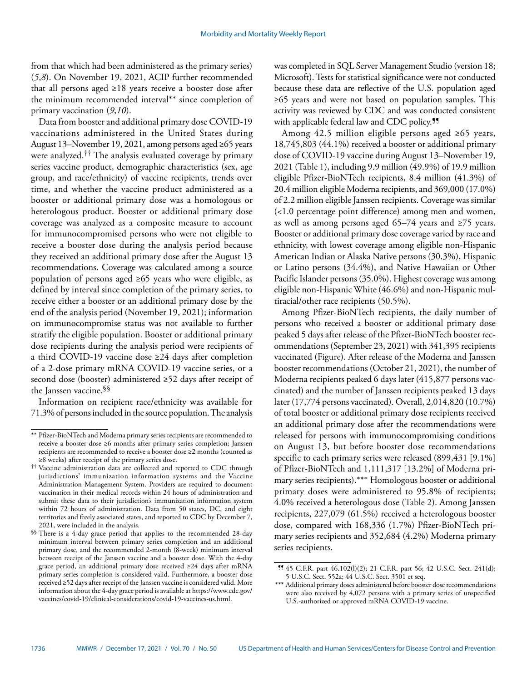from that which had been administered as the primary series) (*5*,*8*). On November 19, 2021, ACIP further recommended that all persons aged ≥18 years receive a booster dose after the minimum recommended interval\*\* since completion of primary vaccination (*9*,*10*).

Data from booster and additional primary dose COVID-19 vaccinations administered in the United States during August 13–November 19, 2021, among persons aged ≥65 years were analyzed.†† The analysis evaluated coverage by primary series vaccine product, demographic characteristics (sex, age group, and race/ethnicity) of vaccine recipients, trends over time, and whether the vaccine product administered as a booster or additional primary dose was a homologous or heterologous product. Booster or additional primary dose coverage was analyzed as a composite measure to account for immunocompromised persons who were not eligible to receive a booster dose during the analysis period because they received an additional primary dose after the August 13 recommendations. Coverage was calculated among a source population of persons aged ≥65 years who were eligible, as defined by interval since completion of the primary series, to receive either a booster or an additional primary dose by the end of the analysis period (November 19, 2021); information on immunocompromise status was not available to further stratify the eligible population. Booster or additional primary dose recipients during the analysis period were recipients of a third COVID-19 vaccine dose ≥24 days after completion of a 2-dose primary mRNA COVID-19 vaccine series, or a second dose (booster) administered ≥52 days after receipt of the Janssen vaccine.§§

Information on recipient race/ethnicity was available for 71.3% of persons included in the source population. The analysis

was completed in SQL Server Management Studio (version 18; Microsoft). Tests for statistical significance were not conducted because these data are reflective of the U.S. population aged ≥65 years and were not based on population samples. This activity was reviewed by CDC and was conducted consistent with applicable federal law and CDC policy.<sup>11</sup>

Among 42.5 million eligible persons aged ≥65 years, 18,745,803 (44.1%) received a booster or additional primary dose of COVID-19 vaccine during August 13–November 19, 2021 (Table 1), including 9.9 million (49.9%) of 19.9 million eligible Pfizer-BioNTech recipients, 8.4 million (41.3%) of 20.4 million eligible Moderna recipients, and 369,000 (17.0%) of 2.2 million eligible Janssen recipients. Coverage was similar (<1.0 percentage point difference) among men and women, as well as among persons aged 65–74 years and ≥75 years. Booster or additional primary dose coverage varied by race and ethnicity, with lowest coverage among eligible non-Hispanic American Indian or Alaska Native persons (30.3%), Hispanic or Latino persons (34.4%), and Native Hawaiian or Other Pacific Islander persons (35.0%). Highest coverage was among eligible non-Hispanic White (46.6%) and non-Hispanic multiracial/other race recipients (50.5%).

Among Pfizer-BioNTech recipients, the daily number of persons who received a booster or additional primary dose peaked 5 days after release of the Pfizer-BioNTech booster recommendations (September 23, 2021) with 341,395 recipients vaccinated (Figure). After release of the Moderna and Janssen booster recommendations (October 21, 2021), the number of Moderna recipients peaked 6 days later (415,877 persons vaccinated) and the number of Janssen recipients peaked 13 days later (17,774 persons vaccinated). Overall, 2,014,820 (10.7%) of total booster or additional primary dose recipients received an additional primary dose after the recommendations were released for persons with immunocompromising conditions on August 13, but before booster dose recommendations specific to each primary series were released (899,431 [9.1%] of Pfizer-BioNTech and 1,111,317 [13.2%] of Moderna primary series recipients).\*\*\* Homologous booster or additional primary doses were administered to 95.8% of recipients; 4.0% received a heterologous dose (Table 2). Among Janssen recipients, 227,079 (61.5%) received a heterologous booster dose, compared with 168,336 (1.7%) Pfizer-BioNTech primary series recipients and 352,684 (4.2%) Moderna primary series recipients.

<sup>\*\*</sup> Pfizer-BioNTech and Moderna primary series recipients are recommended to receive a booster dose ≥6 months after primary series completion; Janssen recipients are recommended to receive a booster dose ≥2 months (counted as ≥8 weeks) after receipt of the primary series dose.

<sup>††</sup> Vaccine administration data are collected and reported to CDC through jurisdictions' immunization information systems and the Vaccine Administration Management System. Providers are required to document vaccination in their medical records within 24 hours of administration and submit these data to their jurisdiction's immunization information system within 72 hours of administration. Data from 50 states, DC, and eight territories and freely associated states, and reported to CDC by December 7, 2021, were included in the analysis.

<sup>§§</sup> There is a 4-day grace period that applies to the recommended 28-day minimum interval between primary series completion and an additional primary dose, and the recommended 2-month (8-week) minimum interval between receipt of the Janssen vaccine and a booster dose. With the 4-day grace period, an additional primary dose received ≥24 days after mRNA primary series completion is considered valid. Furthermore, a booster dose received ≥52 days after receipt of the Janssen vaccine is considered valid. More information about the 4-day grace period is available at [https://www.cdc.gov/](https://www.cdc.gov/vaccines/covid-19/clinical-considerations/covid-19-vaccines-us.html) [vaccines/covid-19/clinical-considerations/covid-19-vaccines-us.html.](https://www.cdc.gov/vaccines/covid-19/clinical-considerations/covid-19-vaccines-us.html)

<sup>¶¶</sup> 45 C.F.R. part 46.102(l)(2); 21 C.F.R. part 56; 42 U.S.C. Sect. 241(d); 5 U.S.C. Sect. 552a; 44 U.S.C. Sect. 3501 et seq.

<sup>\*\*\*</sup> Additional primary doses administered before booster dose recommendations were also received by 4,072 persons with a primary series of unspecified U.S.-authorized or approved mRNA COVID-19 vaccine.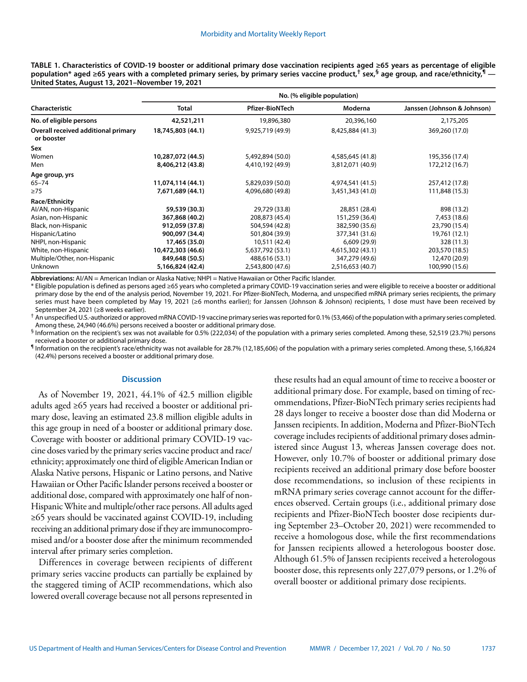| TABLE 1. Characteristics of COVID-19 booster or additional primary dose vaccination recipients aged ≥65 years as percentage of eligible                                     |
|-----------------------------------------------------------------------------------------------------------------------------------------------------------------------------|
| population* aged ≥65 years with a completed primary series, by primary series vaccine product, <sup>†</sup> sex, <sup>§</sup> age group, and race/ethnicity, <sup>¶</sup> — |
| United States, August 13, 2021–November 19, 2021                                                                                                                            |

|                                                   | No. (% eligible population) |                        |                  |                             |  |  |
|---------------------------------------------------|-----------------------------|------------------------|------------------|-----------------------------|--|--|
| Characteristic                                    | <b>Total</b>                | <b>Pfizer-BioNTech</b> | Moderna          | Janssen (Johnson & Johnson) |  |  |
| No. of eligible persons                           | 42,521,211                  | 19,896,380             | 20,396,160       | 2,175,205                   |  |  |
| Overall received additional primary<br>or booster | 18,745,803 (44.1)           | 9,925,719 (49.9)       | 8,425,884 (41.3) | 369,260 (17.0)              |  |  |
| Sex                                               |                             |                        |                  |                             |  |  |
| Women                                             | 10,287,072 (44.5)           | 5,492,894 (50.0)       | 4,585,645 (41.8) | 195,356 (17.4)              |  |  |
| Men                                               | 8,406,212 (43.8)            | 4,410,192 (49.9)       | 3,812,071 (40.9) | 172,212 (16.7)              |  |  |
| Age group, yrs                                    |                             |                        |                  |                             |  |  |
| $65 - 74$                                         | 11,074,114 (44.1)           | 5,829,039 (50.0)       | 4,974,541 (41.5) | 257,412 (17.8)              |  |  |
| $\geq$ 75                                         | 7,671,689 (44.1)            | 4,096,680 (49.8)       | 3,451,343 (41.0) | 111,848 (15.3)              |  |  |
| Race/Ethnicity                                    |                             |                        |                  |                             |  |  |
| Al/AN, non-Hispanic                               | 59,539 (30.3)               | 29,729 (33.8)          | 28,851 (28.4)    | 898 (13.2)                  |  |  |
| Asian, non-Hispanic                               | 367,868 (40.2)              | 208,873 (45.4)         | 151,259 (36.4)   | 7,453 (18.6)                |  |  |
| Black, non-Hispanic                               | 912,059 (37.8)              | 504,594 (42.8)         | 382,590 (35.6)   | 23,790 (15.4)               |  |  |
| Hispanic/Latino                                   | 900,097 (34.4)              | 501,804 (39.9)         | 377,341 (31.6)   | 19,761 (12.1)               |  |  |
| NHPI, non-Hispanic                                | 17,465 (35.0)               | 10,511 (42.4)          | 6,609(29.9)      | 328 (11.3)                  |  |  |
| White, non-Hispanic                               | 10,472,303 (46.6)           | 5,637,792 (53.1)       | 4,615,302 (43.1) | 203,570 (18.5)              |  |  |
| Multiple/Other, non-Hispanic                      | 849,648 (50.5)              | 488,616 (53.1)         | 347,279 (49.6)   | 12,470 (20.9)               |  |  |
| <b>Unknown</b>                                    | 5,166,824 (42.4)            | 2,543,800 (47.6)       | 2,516,653 (40.7) | 100,990 (15.6)              |  |  |

**Abbreviations:** AI/AN = American Indian or Alaska Native; NHPI = Native Hawaiian or Other Pacific Islander.

\* Eligible population is defined as persons aged ≥65 years who completed a primary COVID-19 vaccination series and were eligible to receive a booster or additional primary dose by the end of the analysis period, November 19, 2021. For Pfizer-BioNTech, Moderna, and unspecified mRNA primary series recipients, the primary series must have been completed by May 19, 2021 (≥6 months earlier); for Janssen (Johnson & Johnson) recipients, 1 dose must have been received by September 24, 2021 (≥8 weeks earlier).

† An unspecified U.S.-authorized or approved mRNA COVID-19 vaccine primary series was reported for 0.1% (53,466) of the population with a primary series completed. Among these, 24,940 (46.6%) persons received a booster or additional primary dose.

§ Information on the recipient's sex was not available for 0.5% (222,034) of the population with a primary series completed. Among these, 52,519 (23.7%) persons received a booster or additional primary dose.

¶ Information on the recipient's race/ethnicity was not available for 28.7% (12,185,606) of the population with a primary series completed. Among these, 5,166,824 (42.4%) persons received a booster or additional primary dose.

### **Discussion**

As of November 19, 2021, 44.1% of 42.5 million eligible adults aged ≥65 years had received a booster or additional primary dose, leaving an estimated 23.8 million eligible adults in this age group in need of a booster or additional primary dose. Coverage with booster or additional primary COVID-19 vaccine doses varied by the primary series vaccine product and race/ ethnicity; approximately one third of eligible American Indian or Alaska Native persons, Hispanic or Latino persons, and Native Hawaiian or Other Pacific Islander persons received a booster or additional dose, compared with approximately one half of non-Hispanic White and multiple/other race persons. All adults aged ≥65 years should be vaccinated against COVID-19, including receiving an additional primary dose if they are immunocompromised and/or a booster dose after the minimum recommended interval after primary series completion.

Differences in coverage between recipients of different primary series vaccine products can partially be explained by the staggered timing of ACIP recommendations, which also lowered overall coverage because not all persons represented in

these results had an equal amount of time to receive a booster or additional primary dose. For example, based on timing of recommendations, Pfizer-BioNTech primary series recipients had 28 days longer to receive a booster dose than did Moderna or Janssen recipients. In addition, Moderna and Pfizer-BioNTech coverage includes recipients of additional primary doses administered since August 13, whereas Janssen coverage does not. However, only 10.7% of booster or additional primary dose recipients received an additional primary dose before booster dose recommendations, so inclusion of these recipients in mRNA primary series coverage cannot account for the differences observed. Certain groups (i.e., additional primary dose recipients and Pfizer-BioNTech booster dose recipients during September 23–October 20, 2021) were recommended to receive a homologous dose, while the first recommendations for Janssen recipients allowed a heterologous booster dose. Although 61.5% of Janssen recipients received a heterologous booster dose, this represents only 227,079 persons, or 1.2% of overall booster or additional primary dose recipients.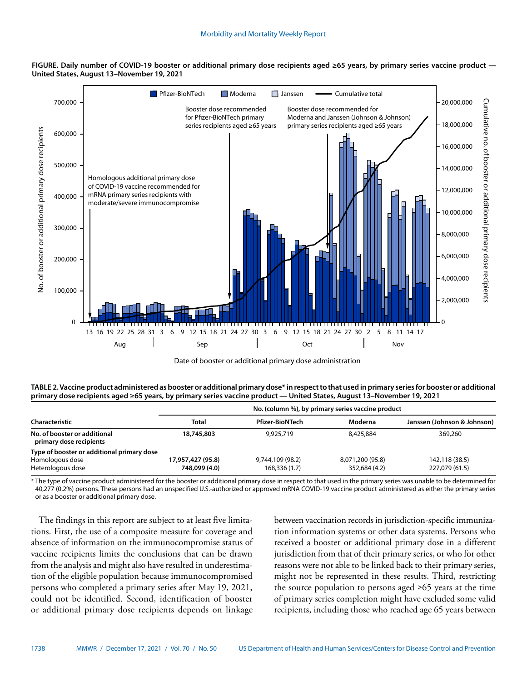





**TABLE 2. Vaccine product administered as booster or additional primary dose\* in respect to that used in primary series for booster or additional primary dose recipients aged ≥65 years, by primary series vaccine product — United States, August 13–November 19, 2021**

| Characteristic                                          | <b>Total</b>      | <b>Pfizer-BioNTech</b> | Moderna          | Janssen (Johnson & Johnson) |
|---------------------------------------------------------|-------------------|------------------------|------------------|-----------------------------|
| No. of booster or additional<br>primary dose recipients | 18,745,803        | 9,925,719              | 8,425,884        | 369,260                     |
| Type of booster or additional primary dose              |                   |                        |                  |                             |
| Homologous dose                                         | 17,957,427 (95.8) | 9,744,109 (98.2)       | 8,071,200 (95.8) | 142,118 (38.5)              |
| Heterologous dose                                       | 748,099 (4.0)     | 168,336 (1.7)          | 352,684 (4.2)    | 227,079 (61.5)              |

\* The type of vaccine product administered for the booster or additional primary dose in respect to that used in the primary series was unable to be determined for 40,277 (0.2%) persons. These persons had an unspecified U.S.-authorized or approved mRNA COVID-19 vaccine product administered as either the primary series or as a booster or additional primary dose.

The findings in this report are subject to at least five limitations. First, the use of a composite measure for coverage and absence of information on the immunocompromise status of vaccine recipients limits the conclusions that can be drawn from the analysis and might also have resulted in underestimation of the eligible population because immunocompromised persons who completed a primary series after May 19, 2021, could not be identified. Second, identification of booster or additional primary dose recipients depends on linkage between vaccination records in jurisdiction-specific immunization information systems or other data systems. Persons who received a booster or additional primary dose in a different jurisdiction from that of their primary series, or who for other reasons were not able to be linked back to their primary series, might not be represented in these results. Third, restricting the source population to persons aged  $\geq 65$  years at the time of primary series completion might have excluded some valid recipients, including those who reached age 65 years between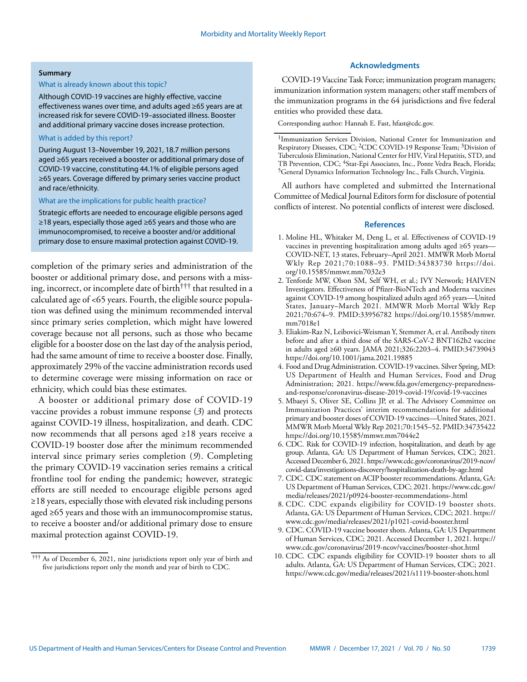#### **Summary**

## What is already known about this topic?

Although COVID-19 vaccines are highly effective, vaccine effectiveness wanes over time, and adults aged ≥65 years are at increased risk for severe COVID-19–associated illness. Booster and additional primary vaccine doses increase protection.

# What is added by this report?

During August 13–November 19, 2021, 18.7 million persons aged ≥65 years received a booster or additional primary dose of COVID-19 vaccine, constituting 44.1% of eligible persons aged ≥65 years. Coverage differed by primary series vaccine product and race/ethnicity.

#### What are the implications for public health practice?

Strategic efforts are needed to encourage eligible persons aged ≥18 years, especially those aged ≥65 years and those who are immunocompromised, to receive a booster and/or additional primary dose to ensure maximal protection against COVID-19.

completion of the primary series and administration of the booster or additional primary dose, and persons with a missing, incorrect, or incomplete date of birth††† that resulted in a calculated age of <65 years. Fourth, the eligible source population was defined using the minimum recommended interval since primary series completion, which might have lowered coverage because not all persons, such as those who became eligible for a booster dose on the last day of the analysis period, had the same amount of time to receive a booster dose. Finally, approximately 29% of the vaccine administration records used to determine coverage were missing information on race or ethnicity, which could bias these estimates.

A booster or additional primary dose of COVID-19 vaccine provides a robust immune response (*3*) and protects against COVID-19 illness, hospitalization, and death. CDC now recommends that all persons aged ≥18 years receive a COVID-19 booster dose after the minimum recommended interval since primary series completion (*9*). Completing the primary COVID-19 vaccination series remains a critical frontline tool for ending the pandemic; however, strategic efforts are still needed to encourage eligible persons aged ≥18 years, especially those with elevated risk including persons aged ≥65 years and those with an immunocompromise status, to receive a booster and/or additional primary dose to ensure maximal protection against COVID-19.

# **Acknowledgments**

COVID-19 Vaccine Task Force; immunization program managers; immunization information system managers; other staff members of the immunization programs in the 64 jurisdictions and five federal entities who provided these data.

Corresponding author: Hannah E. Fast, [hfast@cdc.gov](mailto:hfast@cdc.gov).

All authors have completed and submitted the International Committee of Medical Journal Editors form for disclosure of potential conflicts of interest. No potential conflicts of interest were disclosed.

#### **References**

- 1. Moline HL, Whitaker M, Deng L, et al. Effectiveness of COVID-19 vaccines in preventing hospitalization among adults aged ≥65 years— COVID-NET, 13 states, February–April 2021. MMWR Morb Mortal Wkly Rep 2021;70:1088–93. [PMID:34383730](https://www.ncbi.nlm.nih.gov/entrez/query.fcgi?cmd=Retrieve&db=PubMed&list_uids=34383730&dopt=Abstract) [https://doi.](https://doi.org/10.15585/mmwr.mm7032e3) [org/10.15585/mmwr.mm7032e3](https://doi.org/10.15585/mmwr.mm7032e3)
- 2. Tenforde MW, Olson SM, Self WH, et al.; IVY Network; HAIVEN Investigators. Effectiveness of Pfizer-BioNTech and Moderna vaccines against COVID-19 among hospitalized adults aged ≥65 years—United States, January–March 2021. MMWR Morb Mortal Wkly Rep 2021;70:674–9[. PMID:33956782](https://www.ncbi.nlm.nih.gov/entrez/query.fcgi?cmd=Retrieve&db=PubMed&list_uids=33956782&dopt=Abstract) [https://doi.org/10.15585/mmwr.](https://doi.org/10.15585/mmwr.mm7018e1) [mm7018e1](https://doi.org/10.15585/mmwr.mm7018e1)
- 3. Eliakim-Raz N, Leibovici-Weisman Y, Stemmer A, et al. Antibody titers before and after a third dose of the SARS-CoV-2 BNT162b2 vaccine in adults aged ≥60 years. JAMA 2021;326:2203–4. [PMID:34739043](https://www.ncbi.nlm.nih.gov/entrez/query.fcgi?cmd=Retrieve&db=PubMed&list_uids=34739043&dopt=Abstract) <https://doi.org/10.1001/jama.2021.19885>
- 4. Food and Drug Administration. COVID-19 vaccines. Silver Spring, MD: US Department of Health and Human Services, Food and Drug Administration; 2021. [https://www.fda.gov/emergency-preparedness](https://www.fda.gov/emergency-preparedness-and-response/coronavirus-disease-2019-covid-19/covid-19-vaccines)[and-response/coronavirus-disease-2019-covid-19/covid-19-vaccines](https://www.fda.gov/emergency-preparedness-and-response/coronavirus-disease-2019-covid-19/covid-19-vaccines)
- 5. Mbaeyi S, Oliver SE, Collins JP, et al. The Advisory Committee on Immunization Practices' interim recommendations for additional primary and booster doses of COVID-19 vaccines—United States, 2021. MMWR Morb Mortal Wkly Rep 2021;70:1545–52. [PMID:34735422](https://www.ncbi.nlm.nih.gov/entrez/query.fcgi?cmd=Retrieve&db=PubMed&list_uids=34735422&dopt=Abstract) <https://doi.org/10.15585/mmwr.mm7044e2>
- 6. CDC. Risk for COVID-19 infection, hospitalization, and death by age group. Atlanta, GA: US Department of Human Services, CDC; 2021. Accessed December 6, 2021. [https://www.cdc.gov/coronavirus/2019-ncov/](https://www.cdc.gov/coronavirus/2019-ncov/covid-data/investigations-discovery/hospitalization-death-by-age.html) [covid-data/investigations-discovery/hospitalization-death-by-age.html](https://www.cdc.gov/coronavirus/2019-ncov/covid-data/investigations-discovery/hospitalization-death-by-age.html)
- 7. CDC. CDC statement on ACIP booster recommendations. Atlanta, GA: US Department of Human Services, CDC; 2021. [https://www.cdc.gov/](https://www.cdc.gov/media/releases/2021/p0924-booster-recommendations-.html) [media/releases/2021/p0924-booster-recommendations-.html](https://www.cdc.gov/media/releases/2021/p0924-booster-recommendations-.html)
- 8. CDC. CDC expands eligibility for COVID-19 booster shots. Atlanta, GA: US Department of Human Services, CDC; 2021. [https://](https://www.cdc.gov/media/releases/2021/p1021-covid-booster.html) [www.cdc.gov/media/releases/2021/p1021-covid-booster.html](https://www.cdc.gov/media/releases/2021/p1021-covid-booster.html)
- 9. CDC. COVID-19 vaccine booster shots. Atlanta, GA: US Department of Human Services, CDC; 2021. Accessed December 1, 2021. [https://](https://www.cdc.gov/coronavirus/2019-ncov/vaccines/booster-shot.html) [www.cdc.gov/coronavirus/2019-ncov/vaccines/booster-shot.html](https://www.cdc.gov/coronavirus/2019-ncov/vaccines/booster-shot.html)
- 10. CDC. CDC expands eligibility for COVID-19 booster shots to all adults. Atlanta, GA: US Department of Human Services, CDC; 2021. <https://www.cdc.gov/media/releases/2021/s1119-booster-shots.html>

<sup>†††</sup> As of December 6, 2021, nine jurisdictions report only year of birth and five jurisdictions report only the month and year of birth to CDC.

<sup>&</sup>lt;sup>1</sup>Immunization Services Division, National Center for Immunization and Respiratory Diseases, CDC; 2CDC COVID-19 Response Team; 3Division of Tuberculosis Elimination, National Center for HIV, Viral Hepatitis, STD, and TB Prevention, CDC; <sup>4</sup>Stat-Epi Associates, Inc., Ponte Vedra Beach, Florida; 5General Dynamics Information Technology Inc., Falls Church, Virginia.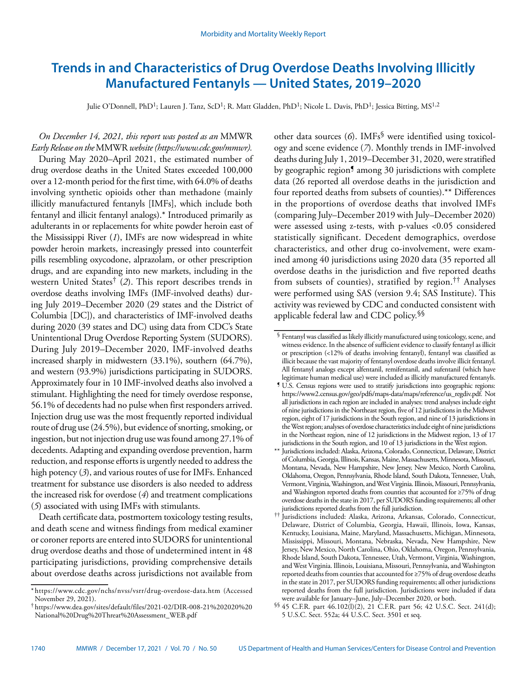# <span id="page-17-0"></span>**Trends in and Characteristics of Drug Overdose Deaths Involving Illicitly Manufactured Fentanyls — United States, 2019–2020**

Julie O'Donnell, PhD<sup>1</sup>; Lauren J. Tanz, ScD<sup>1</sup>; R. Matt Gladden, PhD<sup>1</sup>; Nicole L. Davis, PhD<sup>1</sup>; Jessica Bitting, MS<sup>1,2</sup>

# *On December 14, 2021, this report was posted as an* MMWR *Early Release on the* MMWR *website (<https://www.cdc.gov/mmwr>).*

During May 2020–April 2021, the estimated number of drug overdose deaths in the United States exceeded 100,000 over a 12-month period for the first time, with 64.0% of deaths involving synthetic opioids other than methadone (mainly illicitly manufactured fentanyls [IMFs], which include both fentanyl and illicit fentanyl analogs).\* Introduced primarily as adulterants in or replacements for white powder heroin east of the Mississippi River (*1*), IMFs are now widespread in white powder heroin markets, increasingly pressed into counterfeit pills resembling oxycodone, alprazolam, or other prescription drugs, and are expanding into new markets, including in the western United States† (*2*). This report describes trends in overdose deaths involving IMFs (IMF-involved deaths) during July 2019–December 2020 (29 states and the District of Columbia [DC]), and characteristics of IMF-involved deaths during 2020 (39 states and DC) using data from CDC's State Unintentional Drug Overdose Reporting System (SUDORS). During July 2019–December 2020, IMF-involved deaths increased sharply in midwestern (33.1%), southern (64.7%), and western (93.9%) jurisdictions participating in SUDORS. Approximately four in 10 IMF-involved deaths also involved a stimulant. Highlighting the need for timely overdose response, 56.1% of decedents had no pulse when first responders arrived. Injection drug use was the most frequently reported individual route of drug use (24.5%), but evidence of snorting, smoking, or ingestion, but not injection drug use was found among 27.1% of decedents. Adapting and expanding overdose prevention, harm reduction, and response efforts is urgently needed to address the high potency (*3*), and various routes of use for IMFs. Enhanced treatment for substance use disorders is also needed to address the increased risk for overdose (*4*) and treatment complications (*5*) associated with using IMFs with stimulants.

Death certificate data, postmortem toxicology testing results, and death scene and witness findings from medical examiner or coroner reports are entered into SUDORS for unintentional drug overdose deaths and those of undetermined intent in 48 participating jurisdictions, providing comprehensive details about overdose deaths across jurisdictions not available from

other data sources (*6*). IMFs§ were identified using toxicology and scene evidence (*7*). Monthly trends in IMF-involved deaths during July 1, 2019–December 31, 2020, were stratified by geographic region<sup>5</sup> among 30 jurisdictions with complete data (26 reported all overdose deaths in the jurisdiction and four reported deaths from subsets of counties).\*\* Differences in the proportions of overdose deaths that involved IMFs (comparing July–December 2019 with July–December 2020) were assessed using z-tests, with p-values <0.05 considered statistically significant. Decedent demographics, overdose characteristics, and other drug co-involvement, were examined among 40 jurisdictions using 2020 data (35 reported all overdose deaths in the jurisdiction and five reported deaths from subsets of counties), stratified by region.†† Analyses were performed using SAS (version 9.4; SAS Institute). This activity was reviewed by CDC and conducted consistent with applicable federal law and CDC policy.§§

<sup>\*</sup> <https://www.cdc.gov/nchs/nvss/vsrr/drug-overdose-data.htm> (Accessed November 29, 2021).

<sup>†</sup> [https://www.dea.gov/sites/default/files/2021-02/DIR-008-21%202020%20](https://www.dea.gov/sites/default/files/2021-02/DIR-008-21%202020%20National%20Drug%20Threat%20Assessment_WEB.pdf) [National%20Drug%20Threat%20Assessment\\_WEB.pdf](https://www.dea.gov/sites/default/files/2021-02/DIR-008-21%202020%20National%20Drug%20Threat%20Assessment_WEB.pdf)

<sup>§</sup> Fentanyl was classified as likely illicitly manufactured using toxicology, scene, and witness evidence. In the absence of sufficient evidence to classify fentanyl as illicit or prescription (<12% of deaths involving fentanyl), fentanyl was classified as illicit because the vast majority of fentanyl overdose deaths involve illicit fentanyl. All fentanyl analogs except alfentanil, remifentanil, and sufentanil (which have legitimate human medical use) were included as illicitly manufactured fentanyls.

<sup>¶</sup> U.S. Census regions were used to stratify jurisdictions into geographic regions: [https://www2.census.gov/geo/pdfs/maps-data/maps/reference/us\\_regdiv.pdf.](https://www2.census.gov/geo/pdfs/maps-data/maps/reference/us_regdiv.pdf) Not all jurisdictions in each region are included in analyses: trend analyses include eight of nine jurisdictions in the Northeast region, five of 12 jurisdictions in the Midwest region, eight of 17 jurisdictions in the South region, and nine of 13 jurisdictions in the West region; analyses of overdose characteristics include eight of nine jurisdictions in the Northeast region, nine of 12 jurisdictions in the Midwest region, 13 of 17 jurisdictions in the South region, and 10 of 13 jurisdictions in the West region.

<sup>\*\*</sup> Jurisdictions included: Alaska, Arizona, Colorado, Connecticut, Delaware, District of Columbia, Georgia, Illinois, Kansas, Maine, Massachusetts, Minnesota, Missouri, Montana, Nevada, New Hampshire, New Jersey, New Mexico, North Carolina, Oklahoma, Oregon, Pennsylvania, Rhode Island, South Dakota, Tennessee, Utah, Vermont, Virginia, Washington, and West Virginia. Illinois, Missouri, Pennsylvania, and Washington reported deaths from counties that accounted for ≥75% of drug overdose deaths in the state in 2017, per SUDORS funding requirements; all other jurisdictions reported deaths from the full jurisdiction.

<sup>††</sup> Jurisdictions included: Alaska, Arizona, Arkansas, Colorado, Connecticut, Delaware, District of Columbia, Georgia, Hawaii, Illinois, Iowa, Kansas, Kentucky, Louisiana, Maine, Maryland, Massachusetts, Michigan, Minnesota, Mississippi, Missouri, Montana, Nebraska, Nevada, New Hampshire, New Jersey, New Mexico, North Carolina, Ohio, Oklahoma, Oregon, Pennsylvania, Rhode Island, South Dakota, Tennessee, Utah, Vermont, Virginia, Washington, and West Virginia. Illinois, Louisiana, Missouri, Pennsylvania, and Washington reported deaths from counties that accounted for ≥75% of drug overdose deaths in the state in 2017, per SUDORS funding requirements; all other jurisdictions reported deaths from the full jurisdiction. Jurisdictions were included if data were available for January–June, July–December 2020, or both.

<sup>§§</sup> 45 C.F.R. part 46.102(l)(2), 21 C.F.R. part 56; 42 U.S.C. Sect. 241(d); 5 U.S.C. Sect. 552a; 44 U.S.C. Sect. 3501 et seq.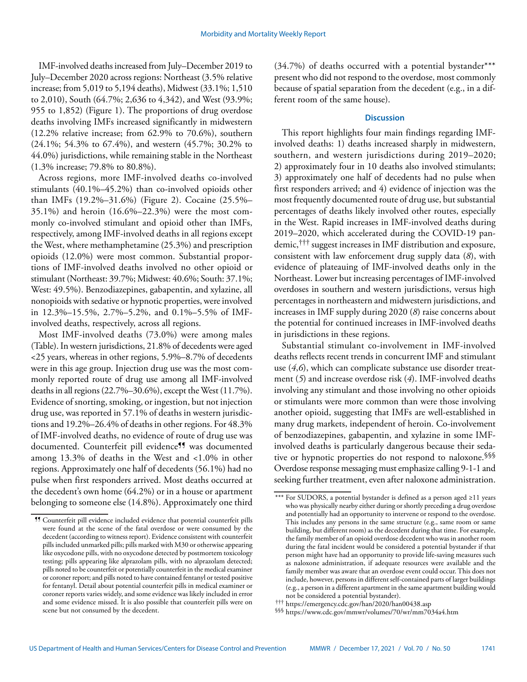IMF-involved deaths increased from July–December 2019 to July–December 2020 across regions: Northeast (3.5% relative increase; from 5,019 to 5,194 deaths), Midwest (33.1%; 1,510 to 2,010), South (64.7%; 2,636 to 4,342), and West (93.9%; 955 to 1,852) (Figure 1). The proportions of drug overdose deaths involving IMFs increased significantly in midwestern (12.2% relative increase; from 62.9% to 70.6%), southern (24.1%; 54.3% to 67.4%), and western (45.7%; 30.2% to 44.0%) jurisdictions, while remaining stable in the Northeast (1.3% increase; 79.8% to 80.8%).

Across regions, more IMF-involved deaths co-involved stimulants (40.1%–45.2%) than co-involved opioids other than IMFs (19.2%–31.6%) (Figure 2). Cocaine (25.5%– 35.1%) and heroin (16.6%–22.3%) were the most commonly co-involved stimulant and opioid other than IMFs, respectively, among IMF-involved deaths in all regions except the West, where methamphetamine (25.3%) and prescription opioids (12.0%) were most common. Substantial proportions of IMF-involved deaths involved no other opioid or stimulant (Northeast: 39.7%; Midwest: 40.6%; South: 37.1%; West: 49.5%). Benzodiazepines, gabapentin, and xylazine, all nonopioids with sedative or hypnotic properties, were involved in 12.3%–15.5%, 2.7%–5.2%, and 0.1%–5.5% of IMFinvolved deaths, respectively, across all regions.

Most IMF-involved deaths (73.0%) were among males (Table). In western jurisdictions, 21.8% of decedents were aged <25 years, whereas in other regions, 5.9%–8.7% of decedents were in this age group. Injection drug use was the most commonly reported route of drug use among all IMF-involved deaths in all regions (22.7%–30.6%), except the West (11.7%). Evidence of snorting, smoking, or ingestion, but not injection drug use, was reported in 57.1% of deaths in western jurisdictions and 19.2%–26.4% of deaths in other regions. For 48.3% of IMF-involved deaths, no evidence of route of drug use was documented. Counterfeit pill evidence<sup>99</sup> was documented among 13.3% of deaths in the West and <1.0% in other regions. Approximately one half of decedents (56.1%) had no pulse when first responders arrived. Most deaths occurred at the decedent's own home (64.2%) or in a house or apartment belonging to someone else (14.8%). Approximately one third (34.7%) of deaths occurred with a potential bystander\*\*\* present who did not respond to the overdose, most commonly because of spatial separation from the decedent (e.g., in a different room of the same house).

# **Discussion**

This report highlights four main findings regarding IMFinvolved deaths: 1) deaths increased sharply in midwestern, southern, and western jurisdictions during 2019–2020; 2) approximately four in 10 deaths also involved stimulants; 3) approximately one half of decedents had no pulse when first responders arrived; and 4) evidence of injection was the most frequently documented route of drug use, but substantial percentages of deaths likely involved other routes, especially in the West. Rapid increases in IMF-involved deaths during 2019–2020, which accelerated during the COVID-19 pandemic,††† suggest increases in IMF distribution and exposure, consistent with law enforcement drug supply data (*8*), with evidence of plateauing of IMF-involved deaths only in the Northeast. Lower but increasing percentages of IMF-involved overdoses in southern and western jurisdictions, versus high percentages in northeastern and midwestern jurisdictions, and increases in IMF supply during 2020 (*8*) raise concerns about the potential for continued increases in IMF-involved deaths in jurisdictions in these regions.

Substantial stimulant co-involvement in IMF-involved deaths reflects recent trends in concurrent IMF and stimulant use (*4*,*6*), which can complicate substance use disorder treatment (*5*) and increase overdose risk (*4*). IMF-involved deaths involving any stimulant and those involving no other opioids or stimulants were more common than were those involving another opioid, suggesting that IMFs are well-established in many drug markets, independent of heroin. Co-involvement of benzodiazepines, gabapentin, and xylazine in some IMFinvolved deaths is particularly dangerous because their sedative or hypnotic properties do not respond to naloxone.<sup>§§§</sup> Overdose response messaging must emphasize calling 9-1-1 and seeking further treatment, even after naloxone administration.

<sup>¶¶</sup> Counterfeit pill evidence included evidence that potential counterfeit pills were found at the scene of the fatal overdose or were consumed by the decedent (according to witness report). Evidence consistent with counterfeit pills included unmarked pills; pills marked with M30 or otherwise appearing like oxycodone pills, with no oxycodone detected by postmortem toxicology testing; pills appearing like alprazolam pills, with no alprazolam detected; pills noted to be counterfeit or potentially counterfeit in the medical examiner or coroner report; and pills noted to have contained fentanyl or tested positive for fentanyl. Detail about potential counterfeit pills in medical examiner or coroner reports varies widely, and some evidence was likely included in error and some evidence missed. It is also possible that counterfeit pills were on scene but not consumed by the decedent.

<sup>\*\*\*</sup> For SUDORS, a potential bystander is defined as a person aged ≥11 years who was physically nearby either during or shortly preceding a drug overdose and potentially had an opportunity to intervene or respond to the overdose. This includes any persons in the same structure (e.g., same room or same building, but different room) as the decedent during that time. For example, the family member of an opioid overdose decedent who was in another room during the fatal incident would be considered a potential bystander if that person might have had an opportunity to provide life-saving measures such as naloxone administration, if adequate resources were available and the family member was aware that an overdose event could occur. This does not include, however, persons in different self-contained parts of larger buildings (e.g., a person in a different apartment in the same apartment building would not be considered a potential bystander).

<sup>†††</sup> <https://emergency.cdc.gov/han/2020/han00438.asp>

<sup>§§§</sup> <https://www.cdc.gov/mmwr/volumes/70/wr/mm7034a4.htm>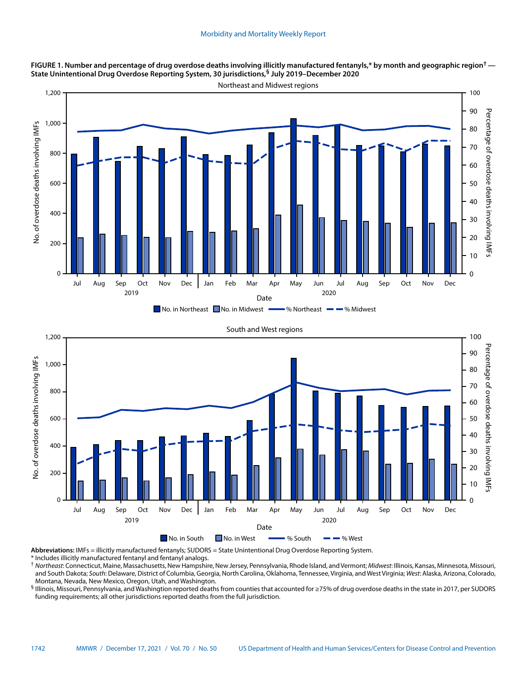





**Abbreviations:** IMFs = illicitly manufactured fentanyls; SUDORS = State Unintentional Drug Overdose Reporting System.

\* Includes illicitly manufactured fentanyl and fentanyl analogs.

† *Northeast*: Connecticut, Maine, Massachusetts, New Hampshire, New Jersey, Pennsylvania, Rhode Island, and Vermont; *Midwest*: Illinois, Kansas, Minnesota, Missouri, and South Dakota; *South*: Delaware, District of Columbia, Georgia, North Carolina, Oklahoma, Tennessee, Virginia, and West Virginia; *West*: Alaska, Arizona, Colorado, Montana, Nevada, New Mexico, Oregon, Utah, and Washington.

§ Illinois, Missouri, Pennsylvania, and Washingtion reported deaths from counties that accounted for ≥75% of drug overdose deaths in the state in 2017, per SUDORS funding requirements; all other jurisdictions reported deaths from the full jurisdiction.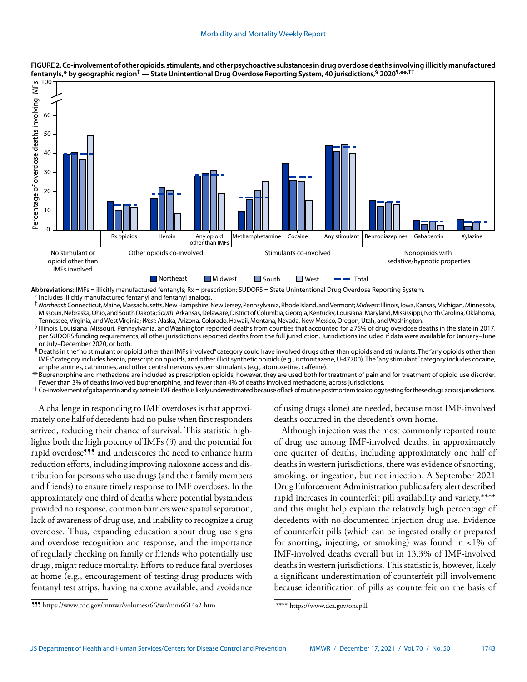

#### **FIGURE 2. Co-involvement of other opioids, stimulants, and other psychoactive substances in drug overdose deaths involving illicitly manufactured fentanyls,\* by geographic region† — State Unintentional Drug Overdose Reporting System, 40 jurisdictions,§ 2020¶,\*\*,††**

**Abbreviations:** IMFs = illicitly manufactured fentanyls; Rx = prescription; SUDORS = State Unintentional Drug Overdose Reporting System. \* Includes illicitly manufactured fentanyl and fentanyl analogs.

† *Northeast*: Connecticut, Maine, Massachusetts, New Hampshire, New Jersey, Pennsylvania, Rhode Island, and Vermont; *Midwest*: Illinois, Iowa, Kansas, Michigan, Minnesota, Missouri, Nebraska, Ohio, and South Dakota; *South*: Arkansas, Delaware, District of Columbia, Georgia, Kentucky, Louisiana, Maryland, Mississippi, North Carolina, Oklahoma, Tennessee, Virginia, and West Virginia; *West*: Alaska, Arizona, Colorado, Hawaii, Montana, Nevada, New Mexico, Oregon, Utah, and Washington.

§ Illinois, Louisiana, Missouri, Pennsylvania, and Washington reported deaths from counties that accounted for ≥75% of drug overdose deaths in the state in 2017, per SUDORS funding requirements; all other jurisdictions reported deaths from the full jurisdiction. Jurisdictions included if data were available for January–June or July–December 2020, or both.

¶ Deaths in the "no stimulant or opioid other than IMFs involved" category could have involved drugs other than opioids and stimulants. The "any opioids other than IMFs" category includes heroin, prescription opioids, and other illicit synthetic opioids (e.g., isotonitazene, U-47700). The "any stimulant" category includes cocaine, amphetamines, cathinones, and other central nervous system stimulants (e.g., atomoxetine, caffeine).

\*\*Buprenorphine and methadone are included as prescription opioids; however, they are used both for treatment of pain and for treatment of opioid use disorder. Fewer than 3% of deaths involved buprenorphine, and fewer than 4% of deaths involved methadone, across jurisdictions.

†† Co-involvement of gabapentin and xylazine in IMF deaths is likely underestimated because of lack of routine postmortem toxicology testing for these drugs across jurisdictions.

A challenge in responding to IMF overdoses is that approximately one half of decedents had no pulse when first responders arrived, reducing their chance of survival. This statistic highlights both the high potency of IMFs (*3*) and the potential for rapid overdose<sup>111</sup> and underscores the need to enhance harm reduction efforts, including improving naloxone access and distribution for persons who use drugs (and their family members and friends) to ensure timely response to IMF overdoses. In the approximately one third of deaths where potential bystanders provided no response, common barriers were spatial separation, lack of awareness of drug use, and inability to recognize a drug overdose. Thus, expanding education about drug use signs and overdose recognition and response, and the importance of regularly checking on family or friends who potentially use drugs, might reduce mortality. Efforts to reduce fatal overdoses at home (e.g., encouragement of testing drug products with fentanyl test strips, having naloxone available, and avoidance

of using drugs alone) are needed, because most IMF-involved deaths occurred in the decedent's own home.

Although injection was the most commonly reported route of drug use among IMF-involved deaths, in approximately one quarter of deaths, including approximately one half of deaths in western jurisdictions, there was evidence of snorting, smoking, or ingestion, but not injection. A September 2021 Drug Enforcement Administration public safety alert described rapid increases in counterfeit pill availability and variety,\*\*\*\* and this might help explain the relatively high percentage of decedents with no documented injection drug use. Evidence of counterfeit pills (which can be ingested orally or prepared for snorting, injecting, or smoking) was found in  $\langle 1\%$  of IMF-involved deaths overall but in 13.3% of IMF-involved deaths in western jurisdictions. This statistic is, however, likely a significant underestimation of counterfeit pill involvement because identification of pills as counterfeit on the basis of

<sup>¶¶¶</sup> <https://www.cdc.gov/mmwr/volumes/66/wr/mm6614a2.htm>

<sup>\*\*\*\*</sup> <https://www.dea.gov/onepill>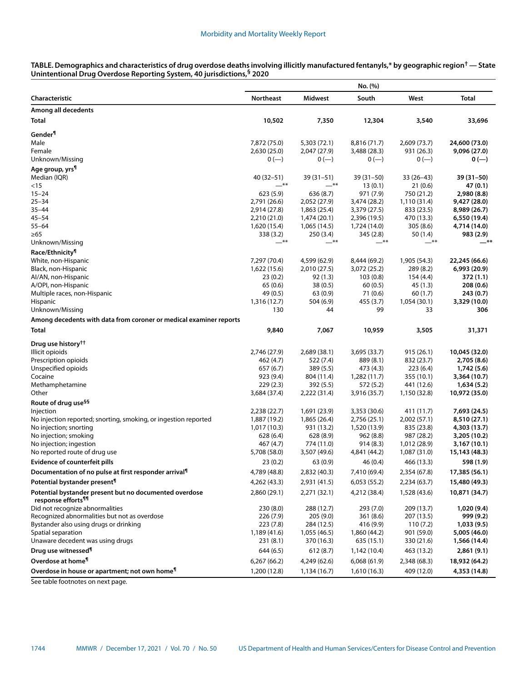**TABLE. Demographics and characteristics of drug overdose deaths involving illicitly manufactured fentanyls,\* by geographic region† — State Unintentional Drug Overdose Reporting System, 40 jurisdictions,§ 2020**

|                                                                                          | No. (%)          |                              |                              |                           |                               |
|------------------------------------------------------------------------------------------|------------------|------------------------------|------------------------------|---------------------------|-------------------------------|
| Characteristic                                                                           | Northeast        | Midwest                      | South                        | West                      | <b>Total</b>                  |
| Among all decedents                                                                      |                  |                              |                              |                           |                               |
| Total                                                                                    | 10,502           | 7,350                        | 12,304                       | 3,540                     | 33,696                        |
| Gender <sup>¶</sup>                                                                      |                  |                              |                              |                           |                               |
| Male                                                                                     | 7,872 (75.0)     | 5,303 (72.1)                 | 8,816 (71.7)                 | 2,609 (73.7)              | 24,600 (73.0)                 |
| Female                                                                                   | 2,630 (25.0)     | 2,047 (27.9)                 | 3,488 (28.3)                 | 931 (26.3)                | 9,096 (27.0)                  |
| Unknown/Missing                                                                          | $0 (-)$          | $0 (-)$                      | $0 (-)$                      | $0 (-)$                   | $0 (-)$                       |
| Age group, yrs <sup>¶</sup>                                                              |                  |                              |                              |                           |                               |
| Median (IQR)                                                                             | $40(32 - 51)$    | $39(31-51)$                  | 39 (31-50)                   | $33(26-43)$               | $39(31-50)$                   |
| < 15                                                                                     | $***$            | $***$                        | 13(0.1)                      | 21(0.6)                   | 47 (0.1)                      |
| $15 - 24$                                                                                | 623 (5.9)        | 636 (8.7)                    | 971 (7.9)                    | 750 (21.2)                | 2,980 (8.8)                   |
| $25 - 34$                                                                                | 2,791 (26.6)     | 2,052 (27.9)                 | 3,474 (28.2)                 | 1,110 (31.4)              | 9,427 (28.0)                  |
| $35 - 44$                                                                                | 2,914 (27.8)     | 1,863 (25.4)                 | 3,379 (27.5)                 | 833 (23.5)                | 8,989 (26.7)                  |
| $45 - 54$                                                                                | 2,210 (21.0)     | 1,474 (20.1)                 | 2,396 (19.5)                 | 470 (13.3)                | 6,550 (19.4)                  |
| $55 - 64$                                                                                | 1,620 (15.4)     | 1,065 (14.5)                 | 1,724 (14.0)                 | 305(8.6)                  | 4,714 (14.0)                  |
| ≥65<br>Unknown/Missing                                                                   | 338 (3.2)<br>—** | 250(3.4)<br>—**              | 345 (2.8)<br>—**             | 50 (1.4)<br>—**           | 983 (2.9)<br><sup>**</sup>    |
| Race/Ethnicity <sup>¶</sup>                                                              |                  |                              |                              |                           |                               |
| White, non-Hispanic                                                                      | 7,297 (70.4)     |                              |                              |                           |                               |
| Black, non-Hispanic                                                                      | 1,622 (15.6)     | 4,599 (62.9)<br>2,010 (27.5) | 8,444 (69.2)<br>3,072 (25.2) | 1,905 (54.3)<br>289 (8.2) | 22,245 (66.6)<br>6,993 (20.9) |
| Al/AN, non-Hispanic                                                                      | 23(0.2)          | 92(1.3)                      | 103(0.8)                     | 154(4.4)                  | 372 (1.1)                     |
| A/OPI, non-Hispanic                                                                      | 65 (0.6)         | 38(0.5)                      | 60(0.5)                      | 45 (1.3)                  | 208 (0.6)                     |
| Multiple races, non-Hispanic                                                             | 49 (0.5)         | 63(0.9)                      | 71 (0.6)                     | 60(1.7)                   | 243 (0.7)                     |
| Hispanic                                                                                 | 1,316 (12.7)     | 504 (6.9)                    | 455 (3.7)                    | 1,054(30.1)               | 3,329 (10.0)                  |
| Unknown/Missing                                                                          | 130              | 44                           | 99                           | 33                        | 306                           |
| Among decedents with data from coroner or medical examiner reports                       |                  |                              |                              |                           |                               |
| Total                                                                                    | 9,840            | 7,067                        | 10,959                       | 3,505                     | 31,371                        |
| Drug use history <sup>††</sup>                                                           |                  |                              |                              |                           |                               |
| Illicit opioids                                                                          | 2,746 (27.9)     | 2,689 (38.1)                 | 3,695 (33.7)                 | 915(26.1)                 | 10,045 (32.0)                 |
| Prescription opioids                                                                     | 462 (4.7)        | 522 (7.4)                    | 889 (8.1)                    | 832 (23.7)                | 2,705 (8.6)                   |
| Unspecified opioids                                                                      | 657 (6.7)        | 389 (5.5)                    | 473 (4.3)                    | 223(6.4)                  | 1,742 (5.6)                   |
| Cocaine                                                                                  | 923 (9.4)        | 804 (11.4)                   | 1,282 (11.7)                 | 355 (10.1)                | 3,364 (10.7)                  |
| Methamphetamine                                                                          | 229(2.3)         | 392 (5.5)                    | 572 (5.2)                    | 441 (12.6)                | 1,634(5.2)                    |
| Other                                                                                    | 3,684 (37.4)     | 2,222 (31.4)                 | 3,916 (35.7)                 | 1,150 (32.8)              | 10,972 (35.0)                 |
| Route of drug use <sup>§§</sup>                                                          |                  |                              |                              |                           |                               |
| Injection                                                                                | 2,238 (22.7)     | 1,691 (23.9)                 | 3,353 (30.6)                 | 411 (11.7)                | 7,693 (24.5)                  |
| No injection reported; snorting, smoking, or ingestion reported                          | 1,887 (19.2)     | 1,865 (26.4)                 | 2,756 (25.1)                 | 2,002(57.1)               | 8,510 (27.1)                  |
| No injection; snorting                                                                   | 1,017 (10.3)     | 931 (13.2)                   | 1,520 (13.9)                 | 835 (23.8)                | 4,303 (13.7)                  |
| No injection; smoking                                                                    | 628(6.4)         | 628(8.9)                     | 962(8.8)                     | 987 (28.2)                | 3,205 (10.2)                  |
| No injection; ingestion                                                                  | 467 (4.7)        | 774 (11.0)                   | 914(8.3)                     | 1,012 (28.9)              | 3,167 (10.1)                  |
| No reported route of drug use                                                            | 5,708 (58.0)     | 3,507 (49.6)                 | 4,841 (44.2)                 | 1,087 (31.0)              | 15,143 (48.3)                 |
| <b>Evidence of counterfeit pills</b>                                                     | 23(0.2)          | 63(0.9)                      | 46(0.4)                      | 466 (13.3)                | 598 (1.9)                     |
| Documentation of no pulse at first responder arrival <sup>1</sup>                        | 4,789 (48.8)     | 2,832 (40.3)                 | 7,410 (69.4)                 | 2,354 (67.8)              | 17,385 (56.1)                 |
| Potential bystander present <sup>¶</sup>                                                 | 4,262 (43.3)     | 2,931 (41.5)                 | 6,053(55.2)                  | 2,234(63.7)               | 15,480 (49.3)                 |
| Potential bystander present but no documented overdose<br>response efforts <sup>11</sup> | 2,860 (29.1)     | 2,271 (32.1)                 | 4,212 (38.4)                 | 1,528 (43.6)              | 10,871 (34.7)                 |
| Did not recognize abnormalities                                                          | 230(8.0)         | 288 (12.7)                   | 293 (7.0)                    | 209 (13.7)                | 1,020 (9.4)                   |
| Recognized abnormalities but not as overdose                                             | 226 (7.9)        | 205 (9.0)                    | 361 (8.6)                    | 207 (13.5)                | 999 (9.2)                     |
| Bystander also using drugs or drinking                                                   | 223 (7.8)        | 284 (12.5)                   | 416 (9.9)                    | 110(7.2)                  | 1,033 (9.5)                   |
| Spatial separation                                                                       | 1,189 (41.6)     | 1,055 (46.5)                 | 1,860 (44.2)                 | 901 (59.0)                | 5,005 (46.0)                  |
| Unaware decedent was using drugs                                                         | 231 (8.1)        | 370 (16.3)                   | 635 (15.1)                   | 330 (21.6)                | 1,566 (14.4)                  |
| Drug use witnessed <sup>¶</sup>                                                          | 644 (6.5)        | 612 (8.7)                    | 1,142 (10.4)                 | 463 (13.2)                | 2,861 (9.1)                   |
| Overdose at home <sup>1</sup>                                                            | 6,267(66.2)      | 4,249 (62.6)                 | 6,068 (61.9)                 | 2,348 (68.3)              | 18,932 (64.2)                 |
| Overdose in house or apartment; not own home <sup>1</sup>                                | 1,200 (12.8)     | 1,134 (16.7)                 | 1,610 (16.3)                 | 409 (12.0)                | 4,353 (14.8)                  |

See table footnotes on next page.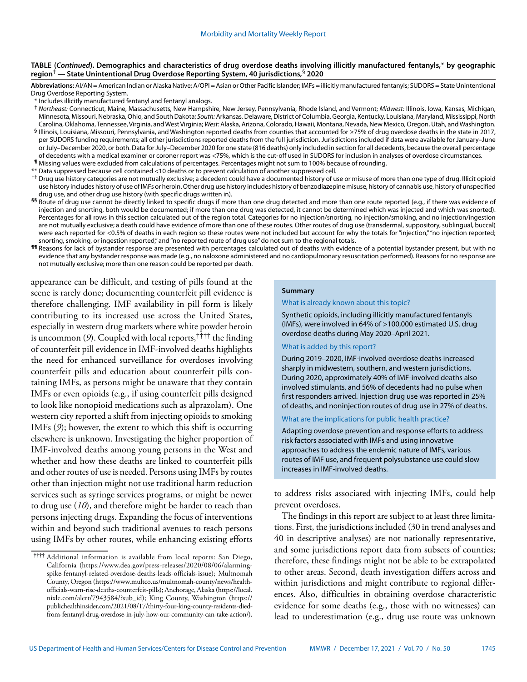#### **TABLE (***Continued***). Demographics and characteristics of drug overdose deaths involving illicitly manufactured fentanyls,**\* **by geographic region**† **— State Unintentional Drug Overdose Reporting System, 40 jurisdictions,**§ **2020**

Abbreviations: AI/AN = American Indian or Alaska Native; A/OPI = Asian or Other Pacific Islander; IMFs = illicitly manufactured fentanyls; SUDORS = State Unintentional Drug Overdose Reporting System.

- \* Includes illicitly manufactured fentanyl and fentanyl analogs.
- † *Northeast:* Connecticut, Maine, Massachusetts, New Hampshire, New Jersey, Pennsylvania, Rhode Island, and Vermont; *Midwest:* Illinois, Iowa, Kansas, Michigan, Minnesota, Missouri, Nebraska, Ohio, and South Dakota; *South:* Arkansas, Delaware, District of Columbia, Georgia, Kentucky, Louisiana, Maryland, Mississippi, North Carolina, Oklahoma, Tennessee, Virginia, and West Virginia; *West:* Alaska, Arizona, Colorado, Hawaii, Montana, Nevada, New Mexico, Oregon, Utah, and Washington.
- **§** Illinois, Louisiana, Missouri, Pennsylvania, and Washington reported deaths from counties that accounted for ≥75% of drug overdose deaths in the state in 2017, per SUDORS funding requirements; all other jurisdictions reported deaths from the full jurisdiction. Jurisdictions included if data were available for January–June or July–December 2020, or both. Data for July–December 2020 for one state (816 deaths) only included in section for all decedents, because the overall percentage of decedents with a medical examiner or coroner report was <75%, which is the cut-off used in SUDORS for inclusion in analyses of overdose circumstances.
- **¶** Missing values were excluded from calculations of percentages. Percentages might not sum to 100% because of rounding.
- \*\* Data suppressed because cell contained <10 deaths or to prevent calculation of another suppressed cell.
- <sup>††</sup> Drug use history categories are not mutually exclusive; a decedent could have a documented history of use or misuse of more than one type of drug. Illicit opioid use history includes history of use of IMFs or heroin. Other drug use history includes history of benzodiazepine misuse, history of cannabis use, history of unspecified drug use, and other drug use history (with specific drugs written in).
- §§ Route of drug use cannot be directly linked to specific drugs if more than one drug detected and more than one route reported (e.g., if there was evidence of injection and snorting, both would be documented; if more than one drug was detected, it cannot be determined which was injected and which was snorted). Percentages for all rows in this section calculated out of the region total. Categories for no injection/snorting, no injection/smoking, and no injection/ingestion are not mutually exclusive; a death could have evidence of more than one of these routes. Other routes of drug use (transdermal, suppository, sublingual, buccal) were each reported for <0.5% of deaths in each region so these routes were not included but account for why the totals for "injection," "no injection reported; snorting, smoking, or ingestion reported," and "no reported route of drug use" do not sum to the regional totals.
- **¶¶** Reasons for lack of bystander response are presented with percentages calculated out of deaths with evidence of a potential bystander present, but with no evidence that any bystander response was made (e.g., no naloxone administered and no cardiopulmonary resuscitation performed). Reasons for no response are not mutually exclusive; more than one reason could be reported per death.

appearance can be difficult, and testing of pills found at the scene is rarely done; documenting counterfeit pill evidence is therefore challenging. IMF availability in pill form is likely contributing to its increased use across the United States, especially in western drug markets where white powder heroin is uncommon (*9*). Coupled with local reports,†††† the finding of counterfeit pill evidence in IMF-involved deaths highlights the need for enhanced surveillance for overdoses involving counterfeit pills and education about counterfeit pills containing IMFs, as persons might be unaware that they contain IMFs or even opioids (e.g., if using counterfeit pills designed to look like nonopioid medications such as alprazolam). One western city reported a shift from injecting opioids to smoking IMFs (*9*); however, the extent to which this shift is occurring elsewhere is unknown. Investigating the higher proportion of IMF-involved deaths among young persons in the West and whether and how these deaths are linked to counterfeit pills and other routes of use is needed. Persons using IMFs by routes other than injection might not use traditional harm reduction services such as syringe services programs, or might be newer to drug use (*10*), and therefore might be harder to reach than persons injecting drugs. Expanding the focus of interventions within and beyond such traditional avenues to reach persons using IMFs by other routes, while enhancing existing efforts

## **Summary**

#### What is already known about this topic?

Synthetic opioids, including illicitly manufactured fentanyls (IMFs), were involved in 64% of >100,000 estimated U.S. drug overdose deaths during May 2020–April 2021.

#### What is added by this report?

During 2019–2020, IMF-involved overdose deaths increased sharply in midwestern, southern, and western jurisdictions. During 2020, approximately 40% of IMF-involved deaths also involved stimulants, and 56% of decedents had no pulse when first responders arrived. Injection drug use was reported in 25% of deaths, and noninjection routes of drug use in 27% of deaths.

### What are the implications for public health practice?

Adapting overdose prevention and response efforts to address risk factors associated with IMFs and using innovative approaches to address the endemic nature of IMFs, various routes of IMF use, and frequent polysubstance use could slow increases in IMF-involved deaths.

to address risks associated with injecting IMFs, could help prevent overdoses.

The findings in this report are subject to at least three limitations. First, the jurisdictions included (30 in trend analyses and 40 in descriptive analyses) are not nationally representative, and some jurisdictions report data from subsets of counties; therefore, these findings might not be able to be extrapolated to other areas. Second, death investigation differs across and within jurisdictions and might contribute to regional differences. Also, difficulties in obtaining overdose characteristic evidence for some deaths (e.g., those with no witnesses) can lead to underestimation (e.g., drug use route was unknown

<sup>††††</sup> Additional information is available from local reports: San Diego, California [\(https://www.dea.gov/press-releases/2020/08/06/alarming](https://www.dea.gov/press-releases/2020/08/06/alarming-spike-fentanyl-related-overdose-deaths-leads-officials-issue)[spike-fentanyl-related-overdose-deaths-leads-officials-issue\)](https://www.dea.gov/press-releases/2020/08/06/alarming-spike-fentanyl-related-overdose-deaths-leads-officials-issue); Multnomah County, Oregon ([https://www.multco.us/multnomah-county/news/health](https://www.multco.us/multnomah-county/news/health-officials-warn-rise-deaths-counterfeit-pills)[officials-warn-rise-deaths-counterfeit-pills](https://www.multco.us/multnomah-county/news/health-officials-warn-rise-deaths-counterfeit-pills)); Anchorage, Alaska [\(https://local.](https://local.nixle.com/alert/7943584/?sub_id) [nixle.com/alert/7943584/?sub\\_id](https://local.nixle.com/alert/7943584/?sub_id)); King County, Washington ([https://](https://publichealthinsider.com/2021/08/17/thirty-four-king-county-residents-died-from-fentanyl-drug-overdose-in-july-how-our-community-can-take-action/) [publichealthinsider.com/2021/08/17/thirty-four-king-county-residents-died](https://publichealthinsider.com/2021/08/17/thirty-four-king-county-residents-died-from-fentanyl-drug-overdose-in-july-how-our-community-can-take-action/)[from-fentanyl-drug-overdose-in-july-how-our-community-can-take-action/\)](https://publichealthinsider.com/2021/08/17/thirty-four-king-county-residents-died-from-fentanyl-drug-overdose-in-july-how-our-community-can-take-action/).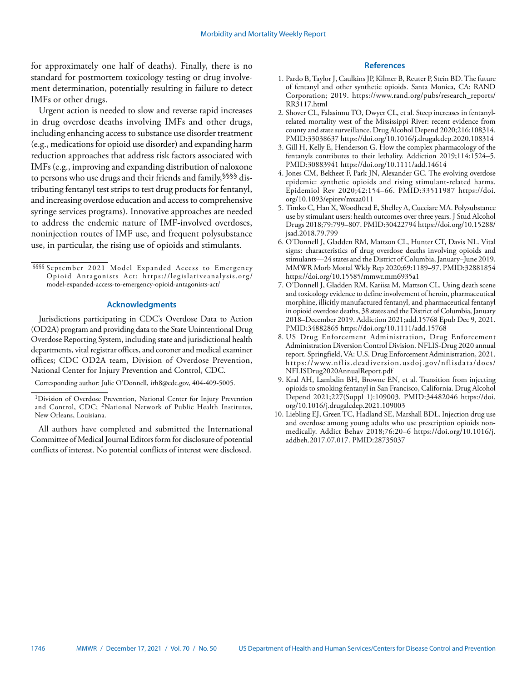for approximately one half of deaths). Finally, there is no standard for postmortem toxicology testing or drug involvement determination, potentially resulting in failure to detect IMFs or other drugs.

Urgent action is needed to slow and reverse rapid increases in drug overdose deaths involving IMFs and other drugs, including enhancing access to substance use disorder treatment (e.g., medications for opioid use disorder) and expanding harm reduction approaches that address risk factors associated with IMFs (e.g., improving and expanding distribution of naloxone to persons who use drugs and their friends and family,§§§§ distributing fentanyl test strips to test drug products for fentanyl, and increasing overdose education and access to comprehensive syringe services programs). Innovative approaches are needed to address the endemic nature of IMF-involved overdoses, noninjection routes of IMF use, and frequent polysubstance use, in particular, the rising use of opioids and stimulants.

# **Acknowledgments**

Jurisdictions participating in CDC's Overdose Data to Action (OD2A) program and providing data to the State Unintentional Drug Overdose Reporting System, including state and jurisdictional health departments, vital registrar offices, and coroner and medical examiner offices; CDC OD2A team, Division of Overdose Prevention, National Center for Injury Prevention and Control, CDC.

Corresponding author: Julie O'Donnell, [irh8@cdc.gov](mailto:irh8@cdc.gov), 404-409-5005.

All authors have completed and submitted the International Committee of Medical Journal Editors form for disclosure of potential conflicts of interest. No potential conflicts of interest were disclosed.

# **References**

- 1. Pardo B, Taylor J, Caulkins JP, Kilmer B, Reuter P, Stein BD. The future of fentanyl and other synthetic opioids. Santa Monica, CA: RAND Corporation; 2019. [https://www.rand.org/pubs/research\\_reports/](https://www.rand.org/pubs/research_reports/RR3117.html) [RR3117.html](https://www.rand.org/pubs/research_reports/RR3117.html)
- 2. Shover CL, Falasinnu TO, Dwyer CL, et al. Steep increases in fentanylrelated mortality west of the Mississippi River: recent evidence from county and state surveillance. Drug Alcohol Depend 2020;216:108314. [PMID:33038637](https://www.ncbi.nlm.nih.gov/entrez/query.fcgi?cmd=Retrieve&db=PubMed&list_uids=33038637&dopt=Abstract) <https://doi.org/10.1016/j.drugalcdep.2020.108314>
- 3. Gill H, Kelly E, Henderson G. How the complex pharmacology of the fentanyls contributes to their lethality. Addiction 2019;114:1524–5. [PMID:30883941](https://www.ncbi.nlm.nih.gov/entrez/query.fcgi?cmd=Retrieve&db=PubMed&list_uids=30883941&dopt=Abstract) <https://doi.org/10.1111/add.14614>
- 4. Jones CM, Bekheet F, Park JN, Alexander GC. The evolving overdose epidemic: synthetic opioids and rising stimulant-related harms. Epidemiol Rev 2020;42:154–66. [PMID:33511987](https://www.ncbi.nlm.nih.gov/entrez/query.fcgi?cmd=Retrieve&db=PubMed&list_uids=33511987&dopt=Abstract) [https://doi.](https://doi.org/10.1093/epirev/mxaa011) [org/10.1093/epirev/mxaa011](https://doi.org/10.1093/epirev/mxaa011)
- 5. Timko C, Han X, Woodhead E, Shelley A, Cucciare MA. Polysubstance use by stimulant users: health outcomes over three years. J Stud Alcohol Drugs 2018;79:799–807. [PMID:30422794](https://www.ncbi.nlm.nih.gov/entrez/query.fcgi?cmd=Retrieve&db=PubMed&list_uids=30422794&dopt=Abstract) [https://doi.org/10.15288/](https://doi.org/10.15288/jsad.2018.79.799) [jsad.2018.79.799](https://doi.org/10.15288/jsad.2018.79.799)
- 6. O'Donnell J, Gladden RM, Mattson CL, Hunter CT, Davis NL. Vital signs: characteristics of drug overdose deaths involving opioids and stimulants—24 states and the District of Columbia, January–June 2019. MMWR Morb Mortal Wkly Rep 2020;69:1189–97. [PMID:32881854](https://www.ncbi.nlm.nih.gov/entrez/query.fcgi?cmd=Retrieve&db=PubMed&list_uids=32881854&dopt=Abstract) <https://doi.org/10.15585/mmwr.mm6935a1>
- 7. O'Donnell J, Gladden RM, Kariisa M, Mattson CL. Using death scene and toxicology evidence to define involvement of heroin, pharmaceutical morphine, illicitly manufactured fentanyl, and pharmaceutical fentanyl in opioid overdose deaths, 38 states and the District of Columbia, January 2018–December 2019. Addiction 2021;add.15768 Epub Dec 9, 2021. [PMID:34882865](https://pubmed.ncbi.nlm.nih.gov/34882865/) <https://doi.org/10.1111/add.15768>
- 8. US Drug Enforcement Administration, Drug Enforcement Administration Diversion Control Division. NFLIS-Drug 2020 annual report. Springfield, VA: U.S. Drug Enforcement Administration, 2021. [https://www.nflis.deadiversion.usdoj.gov/nflisdata/docs/](https://www.nflis.deadiversion.usdoj.gov/nflisdata/docs/NFLISDrug2020AnnualReport.pdf) [NFLISDrug2020AnnualReport.pdf](https://www.nflis.deadiversion.usdoj.gov/nflisdata/docs/NFLISDrug2020AnnualReport.pdf)
- 9. Kral AH, Lambdin BH, Browne EN, et al. Transition from injecting opioids to smoking fentanyl in San Francisco, California. Drug Alcohol Depend 2021;227(Suppl 1):109003. [PMID:34482046](https://www.ncbi.nlm.nih.gov/entrez/query.fcgi?cmd=Retrieve&db=PubMed&list_uids=34482046&dopt=Abstract) [https://doi.](https://doi.org/10.1016/j.drugalcdep.2021.109003) [org/10.1016/j.drugalcdep.2021.109003](https://doi.org/10.1016/j.drugalcdep.2021.109003)
- 10. Liebling EJ, Green TC, Hadland SE, Marshall BDL. Injection drug use and overdose among young adults who use prescription opioids nonmedically. Addict Behav 2018;76:20–6 [https://doi.org/10.1016/j.](https://doi.org/10.1016/j.addbeh.2017.07.017) [addbeh.2017.07.017.](https://doi.org/10.1016/j.addbeh.2017.07.017) [PMID:28735037](https://www.ncbi.nlm.nih.gov/entrez/query.fcgi?cmd=Retrieve&db=PubMed&list_uids=28735037&dopt=Abstract)

1746 MMWR / December 17, 2021 / Vol. 70 / No. 50 US Department of Health and Human Services/Centers for Disease Control and Prevention

<sup>§§§§</sup> September 2021 Model Expanded Access to Emergency Opioid Antagonists Act: [https://legislativeanalysis.org/](https://legislativeanalysis.org/model-expanded-access-to-emergency-opioid-antagonists-act/) [model-expanded-access-to-emergency-opioid-antagonists-act/](https://legislativeanalysis.org/model-expanded-access-to-emergency-opioid-antagonists-act/)

<sup>&</sup>lt;sup>1</sup>Division of Overdose Prevention, National Center for Injury Prevention and Control, CDC; 2National Network of Public Health Institutes, New Orleans, Louisiana.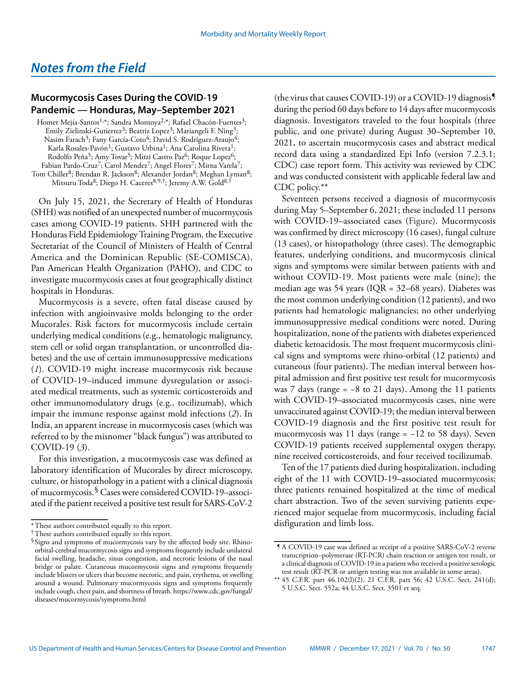# <span id="page-24-0"></span>*Notes from the Field*

# **Mucormycosis Cases During the COVID**-**19 Pandemic — Honduras, May–September 2021**

Homer Mejía-Santos<sup>1,\*</sup>; Sandra Montoya<sup>2,\*</sup>; Rafael Chacón-Fuentes<sup>3</sup>; Emily Zielinski-Gutierrez<sup>3</sup>; Beatriz Lopez<sup>3</sup>; Mariangeli F. Ning<sup>3</sup>; Nasim Farach<sup>3</sup>; Fany García-Coto<sup>4</sup>; David S. Rodríguez-Araujo<sup>4</sup>; Karla Rosales-Pavón<sup>1</sup>; Gustavo Urbina<sup>1</sup>; Ana Carolina Rivera<sup>1</sup>; Rodolfo Peña<sup>5</sup>; Amy Tovar<sup>5</sup>; Mitzi Castro Paz<sup>6</sup>; Roque Lopez<sup>6</sup>; Fabian Pardo-Cruz<sup>7</sup>; Carol Mendez<sup>7</sup>; Angel Flores<sup>7</sup>; Mirna Varela<sup>7</sup>; Tom Chiller<sup>8</sup>; Brendan R. Jackson<sup>8</sup>; Alexander Jordan<sup>8</sup>; Meghan Lyman<sup>8</sup>;

Mitsuru Toda<sup>8</sup>; Diego H. Caceres<sup>8,9,†</sup>; Jeremy A.W. Gold<sup>8,†</sup>

On July 15, 2021, the Secretary of Health of Honduras (SHH) was notified of an unexpected number of mucormycosis cases among COVID-19 patients. SHH partnered with the Honduras Field Epidemiology Training Program, the Executive Secretariat of the Council of Ministers of Health of Central America and the Dominican Republic (SE-COMISCA), Pan American Health Organization (PAHO), and CDC to investigate mucormycosis cases at four geographically distinct hospitals in Honduras.

Mucormycosis is a severe, often fatal disease caused by infection with angioinvasive molds belonging to the order Mucorales. Risk factors for mucormycosis include certain underlying medical conditions (e.g., hematologic malignancy, stem cell or solid organ transplantation, or uncontrolled diabetes) and the use of certain immunosuppressive medications (*1*). COVID-19 might increase mucormycosis risk because of COVID-19–induced immune dysregulation or associated medical treatments, such as systemic corticosteroids and other immunomodulatory drugs (e.g., tocilizumab), which impair the immune response against mold infections (*2*). In India, an apparent increase in mucormycosis cases (which was referred to by the misnomer "black fungus") was attributed to COVID-19 (*3*).

For this investigation, a mucormycosis case was defined as laboratory identification of Mucorales by direct microscopy, culture, or histopathology in a patient with a clinical diagnosis of mucormycosis.§ Cases were considered COVID-19–associated if the patient received a positive test result for SARS-CoV-2 (the virus that causes COVID-19) or a COVID-19 diagnosis¶ during the period 60 days before to 14 days after mucormycosis diagnosis. Investigators traveled to the four hospitals (three public, and one private) during August 30–September 10, 2021, to ascertain mucormycosis cases and abstract medical record data using a standardized Epi Info (version 7.2.3.1; CDC) case report form. This activity was reviewed by CDC and was conducted consistent with applicable federal law and CDC policy.\*\*

Seventeen persons received a diagnosis of mucormycosis during May 5–September 6, 2021; these included 11 persons with COVID-19–associated cases (Figure). Mucormycosis was confirmed by direct microscopy (16 cases), fungal culture (13 cases), or histopathology (three cases). The demographic features, underlying conditions, and mucormycosis clinical signs and symptoms were similar between patients with and without COVID-19. Most patients were male (nine); the median age was 54 years (IQR = 32–68 years). Diabetes was the most common underlying condition (12 patients), and two patients had hematologic malignancies; no other underlying immunosuppressive medical conditions were noted. During hospitalization, none of the patients with diabetes experienced diabetic ketoacidosis. The most frequent mucormycosis clinical signs and symptoms were rhino-orbital (12 patients) and cutaneous (four patients). The median interval between hospital admission and first positive test result for mucormycosis was 7 days (range =  $-8$  to 21 days). Among the 11 patients with COVID-19–associated mucormycosis cases, nine were unvaccinated against COVID-19; the median interval between COVID-19 diagnosis and the first positive test result for mucormycosis was 11 days (range = −12 to 58 days). Seven COVID-19 patients received supplemental oxygen therapy, nine received corticosteroids, and four received tocilizumab.

Ten of the 17 patients died during hospitalization, including eight of the 11 with COVID-19–associated mucormycosis; three patients remained hospitalized at the time of medical chart abstraction. Two of the seven surviving patients experienced major sequelae from mucormycosis, including facial disfiguration and limb loss.

<sup>\*</sup>These authors contributed equally to this report.

<sup>†</sup>These authors contributed equally to this report.

<sup>§</sup> Signs and symptoms of mucormycosis vary by the affected body site. Rhinoorbital-cerebral mucormycosis signs and symptoms frequently include unilateral facial swelling, headache, sinus congestion, and necrotic lesions of the nasal bridge or palate. Cutaneous mucormycosis signs and symptoms frequently include blisters or ulcers that become necrotic, and pain, erythema, or swelling around a wound. Pulmonary mucormycosis signs and symptoms frequently include cough, chest pain, and shortness of breath. [https://www.cdc.gov/fungal/](https://www.cdc.gov/fungal/diseases/mucormycosis/symptoms.html) [diseases/mucormycosis/symptoms.html](https://www.cdc.gov/fungal/diseases/mucormycosis/symptoms.html)

<sup>¶</sup> A COVID-19 case was defined as receipt of a positive SARS-CoV-2 reverse transcription–polymerase (RT-PCR) chain reaction or antigen test result, or a clinical diagnosis of COVID-19 in a patient who received a positive serologic test result (RT-PCR or antigen testing was not available in some areas).

<sup>\*\*</sup> 45 C.F.R. part 46.102(l)(2), 21 C.F.R. part 56; 42 U.S.C. Sect. 241(d); 5 U.S.C. Sect. 552a; 44 U.S.C. Sect. 3501 et seq.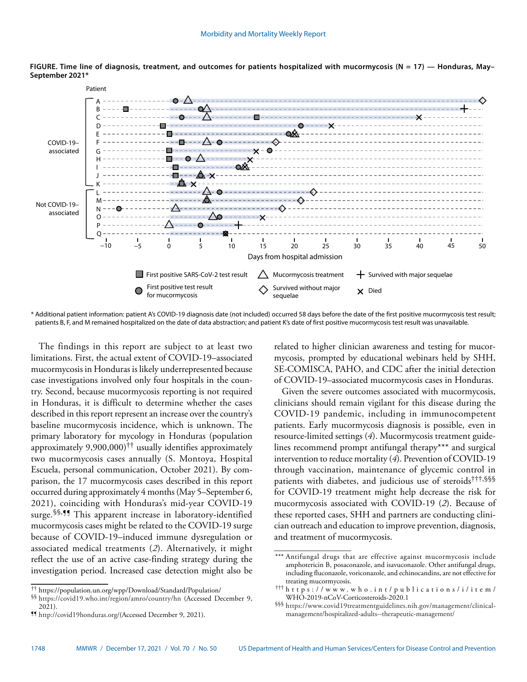

**FIGURE. Time line of diagnosis, treatment, and outcomes for patients hospitalized with mucormycosis (N = 17) — Honduras, May– September 2021\***

\* Additional patient information: patient A's COVID-19 diagnosis date (not included) occurred 58 days before the date of the first positive mucormycosis test result; patients B, F, and M remained hospitalized on the date of data abstraction; and patient K's date of first positive mucormycosis test result was unavailable.

The findings in this report are subject to at least two limitations. First, the actual extent of COVID-19–associated mucormycosis in Honduras is likely underrepresented because case investigations involved only four hospitals in the country. Second, because mucormycosis reporting is not required in Honduras, it is difficult to determine whether the cases described in this report represent an increase over the country's baseline mucormycosis incidence, which is unknown. The primary laboratory for mycology in Honduras (population approximately 9,900,000)†† usually identifies approximately two mucormycosis cases annually (S. Montoya, Hospital Escuela, personal communication, October 2021). By comparison, the 17 mucormycosis cases described in this report occurred during approximately 4 months (May 5–September 6, 2021), coinciding with Honduras's mid-year COVID-19 surge.<sup>§§, ¶</sup> This apparent increase in laboratory-identified mucormycosis cases might be related to the COVID-19 surge because of COVID-19–induced immune dysregulation or associated medical treatments (*2*). Alternatively, it might reflect the use of an active case-finding strategy during the investigation period. Increased case detection might also be

related to higher clinician awareness and testing for mucormycosis, prompted by educational webinars held by SHH, SE-COMISCA, PAHO, and CDC after the initial detection of COVID-19–associated mucormycosis cases in Honduras.

Given the severe outcomes associated with mucormycosis, clinicians should remain vigilant for this disease during the COVID-19 pandemic, including in immunocompetent patients. Early mucormycosis diagnosis is possible, even in resource-limited settings (*4*). Mucormycosis treatment guidelines recommend prompt antifungal therapy\*\*\* and surgical intervention to reduce mortality (*4*). Prevention of COVID-19 through vaccination, maintenance of glycemic control in patients with diabetes, and judicious use of steroids†††,§§§ for COVID-19 treatment might help decrease the risk for mucormycosis associated with COVID-19 (*2*). Because of these reported cases, SHH and partners are conducting clinician outreach and education to improve prevention, diagnosis, and treatment of mucormycosis.

<sup>††</sup> <https://population.un.org/wpp/Download/Standard/Population/>

<sup>§§</sup> <https://covid19.who.int/region/amro/country/hn> (Accessed December 9, 2021).

<sup>¶¶</sup> [http://covid19honduras.org/\(](http://covid19honduras.org/)Accessed December 9, 2021).

<sup>\*\*\*</sup> Antifungal drugs that are effective against mucormycosis include amphotericin B, posaconazole, and isavuconazole. Other antifungal drugs, including fluconazole, voriconazole, and echinocandins, are not effective for treating mucormycosis.

<sup>†††</sup> [https://www.who.int/publications/i/item/](https://www.who.int/publications/i/item/WHO-2019-nCoV-Corticosteroids-2020.1) [WHO-2019-nCoV-Corticosteroids-2020.1](https://www.who.int/publications/i/item/WHO-2019-nCoV-Corticosteroids-2020.1)

<sup>§§§</sup> [https://www.covid19treatmentguidelines.nih.gov/management/clinical](https://www.covid19treatmentguidelines.nih.gov/management/clinical-management/hospitalized-adults--therapeutic-management/)[management/hospitalized-adults--therapeutic-management/](https://www.covid19treatmentguidelines.nih.gov/management/clinical-management/hospitalized-adults--therapeutic-management/)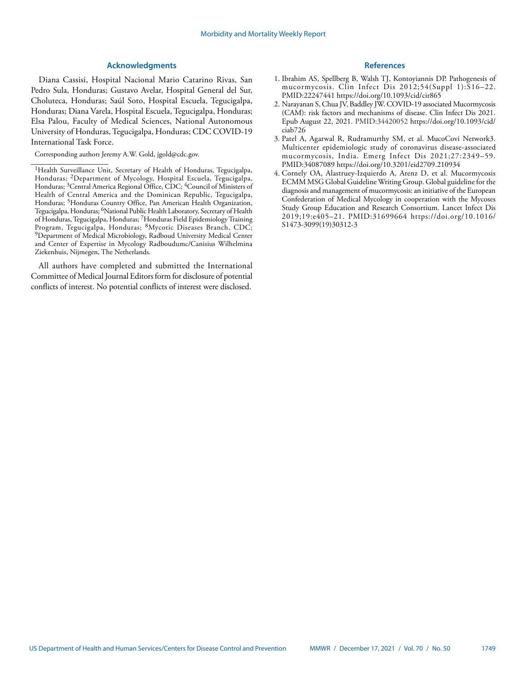# **Acknowledgments**

Diana Cassisi, Hospital Nacional Mario Catarino Rivas, San Pedro Sula, Honduras; Gustavo Avelar, Hospital General del Sur, Choluteca, Honduras; Saúl Soto, Hospital Escuela, Tegucigalpa, Honduras; Diana Varela, Hospital Escuela, Tegucigalpa, Honduras; Elsa Palou, Faculty of Medical Sciences, National Autonomous University of Honduras, Tegucigalpa, Honduras; CDC COVID-19 International Task Force.

Corresponding author**:** Jeremy A.W. Gold, [jgold@cdc.gov.](mailto:jgold@cdc.gov)

All authors have completed and submitted the International Committee of Medical Journal Editors form for disclosure of potential conflicts of interest. No potential conflicts of interest were disclosed.

### **References**

- 1. Ibrahim AS, Spellberg B, Walsh TJ, Kontoyiannis DP. Pathogenesis of mucormycosis. Clin Infect Dis 2012;54(Suppl 1):S16–22. [PMID:22247441](https://www.ncbi.nlm.nih.gov/entrez/query.fcgi?cmd=Retrieve&db=PubMed&list_uids=22247441&dopt=Abstract) <https://doi.org/10.1093/cid/cir865>
- 2. Narayanan S, Chua JV, Baddley JW. COVID-19 associated Mucormycosis (CAM): risk factors and mechanisms of disease. Clin Infect Dis 2021. Epub August 22, 2021. [PMID:34420052](https://pubmed.ncbi.nlm.nih.gov/34420052/) [https://doi.org/10.1093/cid/](https://doi.org/10.1093/cid/ciab726) [ciab726](https://doi.org/10.1093/cid/ciab726)
- 3. Patel A, Agarwal R, Rudramurthy SM, et al. MucoCovi Network3. Multicenter epidemiologic study of coronavirus disease-associated mucormycosis, India. Emerg Infect Dis 2021;27:2349–59. [PMID:34087089](https://www.ncbi.nlm.nih.gov/entrez/query.fcgi?cmd=Retrieve&db=PubMed&list_uids=34087089&dopt=Abstract) <https://doi.org/10.3201/eid2709.210934>
- 4. Cornely OA, Alastruey-Izquierdo A, Arenz D, et al. Mucormycosis ECMM MSG Global Guideline Writing Group. Global guideline for the diagnosis and management of mucormycosis: an initiative of the European Confederation of Medical Mycology in cooperation with the Mycoses Study Group Education and Research Consortium. Lancet Infect Dis 2019;19:e405–21. [PMID:31699664](https://www.ncbi.nlm.nih.gov/entrez/query.fcgi?cmd=Retrieve&db=PubMed&list_uids=31699664&dopt=Abstract) [https://doi.org/10.1016/](https://doi.org/10.1016/S1473-3099(19)30312-3) [S1473-3099\(19\)30312-3](https://doi.org/10.1016/S1473-3099(19)30312-3)

<sup>&</sup>lt;sup>1</sup>Health Surveillance Unit, Secretary of Health of Honduras, Tegucigalpa, Honduras; 2Department of Mycology, Hospital Escuela, Tegucigalpa, Honduras; <sup>3</sup>Central America Regional Office, CDC; <sup>4</sup>Council of Ministers of Health of Central America and the Dominican Republic, Tegucigalpa, Honduras; 5Honduras Country Office, Pan American Health Organization, Tegucigalpa, Honduras; 6National Public Health Laboratory, Secretary of Health of Honduras, Tegucigalpa, Honduras; 7Honduras Field Epidemiology Training Program, Tegucigalpa, Honduras; <sup>8</sup>Mycotic Diseases Branch, CDC; 9Department of Medical Microbiology, Radboud University Medical Center and Center of Expertise in Mycology Radboudumc/Canisius Wilhelmina Ziekenhuis, Nijmegen, The Netherlands.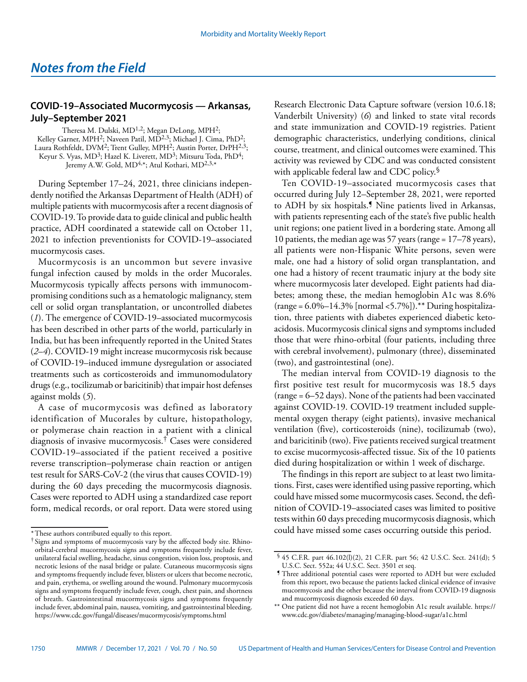# <span id="page-27-0"></span>**COVID-19–Associated Mucormycosis — Arkansas, July–September 2021**

Theresa M. Dulski, MD<sup>1,2</sup>; Megan DeLong, MPH<sup>2</sup>; Kelley Garner, MPH<sup>2</sup>; Naveen Patil, MD<sup>2,3</sup>; Michael J. Cima, PhD<sup>2</sup>; Laura Rothfeldt, DVM<sup>2</sup>; Trent Gulley, MPH<sup>2</sup>; Austin Porter, DrPH<sup>2,3</sup>; Keyur S. Vyas, MD<sup>3</sup>; Hazel K. Liverett, MD<sup>3</sup>; Mitsuru Toda, PhD<sup>4</sup>; Jeremy A.W. Gold, MD<sup>4,\*</sup>; Atul Kothari, MD<sup>2,3,\*</sup>

During September 17–24, 2021, three clinicians independently notified the Arkansas Department of Health (ADH) of multiple patients with mucormycosis after a recent diagnosis of COVID-19. To provide data to guide clinical and public health practice, ADH coordinated a statewide call on October 11, 2021 to infection preventionists for COVID-19–associated mucormycosis cases.

Mucormycosis is an uncommon but severe invasive fungal infection caused by molds in the order Mucorales. Mucormycosis typically affects persons with immunocompromising conditions such as a hematologic malignancy, stem cell or solid organ transplantation, or uncontrolled diabetes (*1*). The emergence of COVID-19–associated mucormycosis has been described in other parts of the world, particularly in India, but has been infrequently reported in the United States (*2*–*4*). COVID-19 might increase mucormycosis risk because of COVID-19–induced immune dysregulation or associated treatments such as corticosteroids and immunomodulatory drugs (e.g., tocilizumab or baricitinib) that impair host defenses against molds (*5*).

A case of mucormycosis was defined as laboratory identification of Mucorales by culture, histopathology, or polymerase chain reaction in a patient with a clinical diagnosis of invasive mucormycosis.† Cases were considered COVID-19–associated if the patient received a positive reverse transcription–polymerase chain reaction or antigen test result for SARS-CoV-2 (the virus that causes COVID-19) during the 60 days preceding the mucormycosis diagnosis. Cases were reported to ADH using a standardized case report form, medical records, or oral report. Data were stored using Research Electronic Data Capture software (version 10.6.18; Vanderbilt University) (*6*) and linked to state vital records and state immunization and COVID-19 registries. Patient demographic characteristics, underlying conditions, clinical course, treatment, and clinical outcomes were examined. This activity was reviewed by CDC and was conducted consistent with applicable federal law and CDC policy.<sup>§</sup>

Ten COVID-19–associated mucormycosis cases that occurred during July 12–September 28, 2021, were reported to ADH by six hospitals.¶ Nine patients lived in Arkansas, with patients representing each of the state's five public health unit regions; one patient lived in a bordering state. Among all 10 patients, the median age was 57 years (range = 17–78 years), all patients were non-Hispanic White persons, seven were male, one had a history of solid organ transplantation, and one had a history of recent traumatic injury at the body site where mucormycosis later developed. Eight patients had diabetes; among these, the median hemoglobin A1c was 8.6% (range = 6.0%–14.3% [normal <5.7%]).\*\* During hospitalization, three patients with diabetes experienced diabetic ketoacidosis. Mucormycosis clinical signs and symptoms included those that were rhino-orbital (four patients, including three with cerebral involvement), pulmonary (three), disseminated (two), and gastrointestinal (one).

The median interval from COVID-19 diagnosis to the first positive test result for mucormycosis was 18.5 days (range = 6–52 days). None of the patients had been vaccinated against COVID-19. COVID-19 treatment included supplemental oxygen therapy (eight patients), invasive mechanical ventilation (five), corticosteroids (nine), tocilizumab (two), and baricitinib (two). Five patients received surgical treatment to excise mucormycosis-affected tissue. Six of the 10 patients died during hospitalization or within 1 week of discharge.

The findings in this report are subject to at least two limitations. First, cases were identified using passive reporting, which could have missed some mucormycosis cases. Second, the definition of COVID-19–associated cases was limited to positive tests within 60 days preceding mucormycosis diagnosis, which could have missed some cases occurring outside this period.

<sup>\*</sup>These authors contributed equally to this report.

<sup>†</sup> Signs and symptoms of mucormycosis vary by the affected body site. Rhinoorbital-cerebral mucormycosis signs and symptoms frequently include fever, unilateral facial swelling, headache, sinus congestion, vision loss, proptosis, and necrotic lesions of the nasal bridge or palate. Cutaneous mucormycosis signs and symptoms frequently include fever, blisters or ulcers that become necrotic, and pain, erythema, or swelling around the wound. Pulmonary mucormycosis signs and symptoms frequently include fever, cough, chest pain, and shortness of breath. Gastrointestinal mucormycosis signs and symptoms frequently include fever, abdominal pain, nausea, vomiting, and gastrointestinal bleeding. <https://www.cdc.gov/fungal/diseases/mucormycosis/symptoms.html>

<sup>§</sup> 45 C.F.R. part 46.102(l)(2), 21 C.F.R. part 56; 42 U.S.C. Sect. 241(d); 5 U.S.C. Sect. 552a; 44 U.S.C. Sect. 3501 et seq.

<sup>¶</sup> Three additional potential cases were reported to ADH but were excluded from this report, two because the patients lacked clinical evidence of invasive mucormycosis and the other because the interval from COVID-19 diagnosis and mucormycosis diagnosis exceeded 60 days.

<sup>\*\*</sup> One patient did not have a recent hemoglobin A1c result available. [https://](https://www.cdc.gov/diabetes/managing/managing-blood-sugar/a1c.html) [www.cdc.gov/diabetes/managing/managing-blood-sugar/a1c.html](https://www.cdc.gov/diabetes/managing/managing-blood-sugar/a1c.html)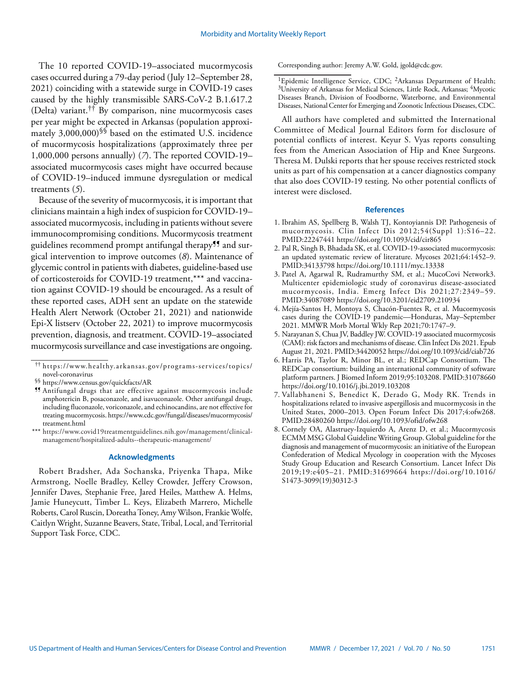The 10 reported COVID-19–associated mucormycosis cases occurred during a 79-day period (July 12–September 28, 2021) coinciding with a statewide surge in COVID-19 cases caused by the highly transmissible SARS-CoV-2 B.1.617.2 (Delta) variant.†† By comparison, nine mucormycosis cases per year might be expected in Arkansas (population approximately  $3,000,000$ <sup>§§</sup> based on the estimated U.S. incidence of mucormycosis hospitalizations (approximately three per 1,000,000 persons annually) (*7*). The reported COVID-19– associated mucormycosis cases might have occurred because of COVID-19–induced immune dysregulation or medical treatments (*5*).

Because of the severity of mucormycosis, it is important that clinicians maintain a high index of suspicion for COVID-19– associated mucormycosis, including in patients without severe immunocompromising conditions. Mucormycosis treatment guidelines recommend prompt antifungal therapy<sup>99</sup> and surgical intervention to improve outcomes (*8*). Maintenance of glycemic control in patients with diabetes, guideline-based use of corticosteroids for COVID-19 treatment,\*\*\* and vaccination against COVID-19 should be encouraged. As a result of these reported cases, ADH sent an update on the statewide Health Alert Network (October 21, 2021) and nationwide Epi-X listserv (October 22, 2021) to improve mucormycosis prevention, diagnosis, and treatment. COVID-19–associated mucormycosis surveillance and case investigations are ongoing.

#### **Acknowledgments**

Robert Bradsher, Ada Sochanska, Priyenka Thapa, Mike Armstrong, Noelle Bradley, Kelley Crowder, Jeffery Crowson, Jennifer Daves, Stephanie Free, Jared Heiles, Matthew A. Helms, Jamie Huneycutt, Timber L. Keys, Elizabeth Marrero, Michelle Roberts, Carol Ruscin, Doreatha Toney, Amy Wilson, Frankie Wolfe, Caitlyn Wright, Suzanne Beavers, State, Tribal, Local, and Territorial Support Task Force, CDC.

Corresponding author: Jeremy A.W. Gold, [jgold@cdc.gov](mailto:jgold@cdc.gov).

All authors have completed and submitted the International Committee of Medical Journal Editors form for disclosure of potential conflicts of interest. Keyur S. Vyas reports consulting fees from the American Association of Hip and Knee Surgeons. Theresa M. Dulski reports that her spouse receives restricted stock units as part of his compensation at a cancer diagnostics company that also does COVID-19 testing. No other potential conflicts of interest were disclosed.

#### **References**

- 1. Ibrahim AS, Spellberg B, Walsh TJ, Kontoyiannis DP. Pathogenesis of mucormycosis. Clin Infect Dis 2012;54(Suppl 1):S16–22. [PMID:22247441](https://www.ncbi.nlm.nih.gov/entrez/query.fcgi?cmd=Retrieve&db=PubMed&list_uids=22247441&dopt=Abstract) <https://doi.org/10.1093/cid/cir865>
- 2. Pal R, Singh B, Bhadada SK, et al. COVID-19-associated mucormycosis: an updated systematic review of literature. Mycoses 2021;64:1452–9. [PMID:34133798](https://www.ncbi.nlm.nih.gov/entrez/query.fcgi?cmd=Retrieve&db=PubMed&list_uids=34133798&dopt=Abstract) <https://doi.org/10.1111/myc.13338>
- 3. Patel A, Agarwal R, Rudramurthy SM, et al.; MucoCovi Network3. Multicenter epidemiologic study of coronavirus disease-associated mucormycosis, India. Emerg Infect Dis 2021;27:2349–59. [PMID:34087089](https://www.ncbi.nlm.nih.gov/entrez/query.fcgi?cmd=Retrieve&db=PubMed&list_uids=34087089&dopt=Abstract) <https://doi.org/10.3201/eid2709.210934>
- 4. Mejía-Santos H, Montoya S, Chacón-Fuentes R, et al. Mucormycosis cases during the COVID-19 pandemic—Honduras, May–September 2021. MMWR Morb Mortal Wkly Rep 2021;70:1747–9.
- 5. Narayanan S, Chua JV, Baddley JW. COVID-19 associated mucormycosis (CAM): risk factors and mechanisms of disease. Clin Infect Dis 2021. Epub August 21, 2021. [PMID:34420052](https://pubmed.ncbi.nlm.nih.gov/34420052/) <https://doi.org/10.1093/cid/ciab726>
- 6. Harris PA, Taylor R, Minor BL, et al.; REDCap Consortium. The REDCap consortium: building an international community of software platform partners. J Biomed Inform 2019;95:103208. [PMID:31078660](https://www.ncbi.nlm.nih.gov/entrez/query.fcgi?cmd=Retrieve&db=PubMed&list_uids=31078660&dopt=Abstract) <https://doi.org/10.1016/j.jbi.2019.103208>
- 7. Vallabhaneni S, Benedict K, Derado G, Mody RK. Trends in hospitalizations related to invasive aspergillosis and mucormycosis in the United States, 2000–2013. Open Forum Infect Dis 2017;4:ofw268. [PMID:28480260](https://www.ncbi.nlm.nih.gov/entrez/query.fcgi?cmd=Retrieve&db=PubMed&list_uids=28480260&dopt=Abstract) <https://doi.org/10.1093/ofid/ofw268>
- 8. Cornely OA, Alastruey-Izquierdo A, Arenz D, et al.; Mucormycosis ECMM MSG Global Guideline Writing Group. Global guideline for the diagnosis and management of mucormycosis: an initiative of the European Confederation of Medical Mycology in cooperation with the Mycoses Study Group Education and Research Consortium. Lancet Infect Dis 2019;19:e405–21. [PMID:31699664](https://www.ncbi.nlm.nih.gov/entrez/query.fcgi?cmd=Retrieve&db=PubMed&list_uids=31699664&dopt=Abstract) [https://doi.org/10.1016/](https://doi.org/10.1016/S1473-3099(19)30312-3) [S1473-3099\(19\)30312-3](https://doi.org/10.1016/S1473-3099(19)30312-3)

<sup>††</sup> [https://www.healthy.arkansas.gov/programs-services/topics/](https://www.healthy.arkansas.gov/programs-services/topics/novel-coronavirus) [novel-coronavirus](https://www.healthy.arkansas.gov/programs-services/topics/novel-coronavirus)

<sup>§§</sup> <https://www.census.gov/quickfacts/AR>

<sup>¶¶</sup> Antifungal drugs that are effective against mucormycosis include amphotericin B, posaconazole, and isavuconazole. Other antifungal drugs, including fluconazole, voriconazole, and echinocandins, are not effective for treating mucormycosis. [https://www.cdc.gov/fungal/diseases/mucormycosis/](https://www.cdc.gov/fungal/diseases/mucormycosis/treatment.html) [treatment.html](https://www.cdc.gov/fungal/diseases/mucormycosis/treatment.html)

<sup>\*\*\*</sup> [https://www.covid19treatmentguidelines.nih.gov/management/clinical](https://www.covid19treatmentguidelines.nih.gov/management/clinical-management/hospitalized-adults--therapeutic-management/)[management/hospitalized-adults--therapeutic-management/](https://www.covid19treatmentguidelines.nih.gov/management/clinical-management/hospitalized-adults--therapeutic-management/)

<sup>&</sup>lt;sup>1</sup>Epidemic Intelligence Service, CDC; <sup>2</sup>Arkansas Department of Health; <sup>3</sup>University of Arkansas for Medical Sciences, Little Rock, Arkansas; <sup>4</sup>Mycotic Diseases Branch, Division of Foodborne, Waterborne, and Environmental Diseases, National Center for Emerging and Zoonotic Infectious Diseases, CDC.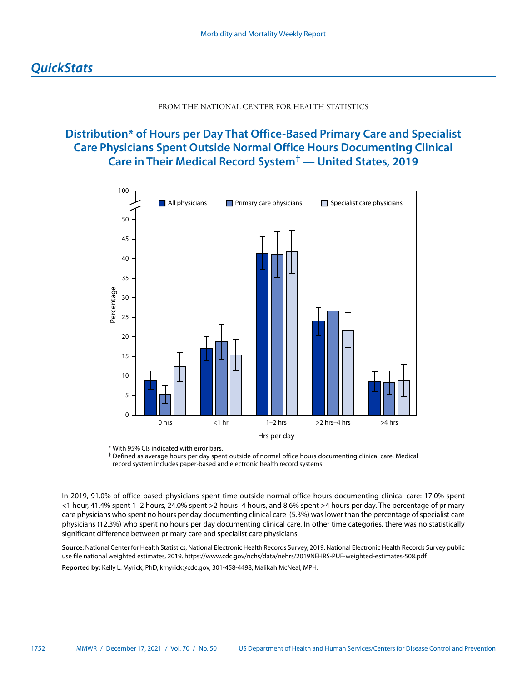## FROM THE NATIONAL CENTER FOR HEALTH STATISTICS

# <span id="page-29-0"></span>**Distribution\* of Hours per Day That Office-Based Primary Care and Specialist Care Physicians Spent Outside Normal Office Hours Documenting Clinical Care in Their Medical Record System† — United States, 2019**



\* With 95% CIs indicated with error bars.



In 2019, 91.0% of office-based physicians spent time outside normal office hours documenting clinical care: 17.0% spent <1 hour, 41.4% spent 1–2 hours, 24.0% spent >2 hours–4 hours, and 8.6% spent >4 hours per day. The percentage of primary care physicians who spent no hours per day documenting clinical care (5.3%) was lower than the percentage of specialist care physicians (12.3%) who spent no hours per day documenting clinical care. In other time categories, there was no statistically significant difference between primary care and specialist care physicians.

**Source:** National Center for Health Statistics, National Electronic Health Records Survey, 2019. National Electronic Health Records Survey public use file national weighted estimates, 2019.<https://www.cdc.gov/nchs/data/nehrs/2019NEHRS-PUF-weighted-estimates-508.pdf> **Reported by:** Kelly L. Myrick, PhD, [kmyrick@cdc.gov](mailto:kmyrick@cdc.gov), 301-458-4498; Malikah McNeal, MPH.